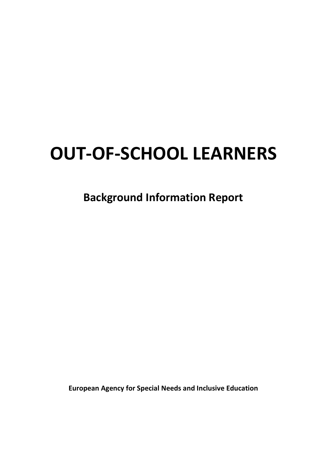# **OUT-OF-SCHOOL LEARNERS**

**Background Information Report**

**European Agency for Special Needs and Inclusive Education**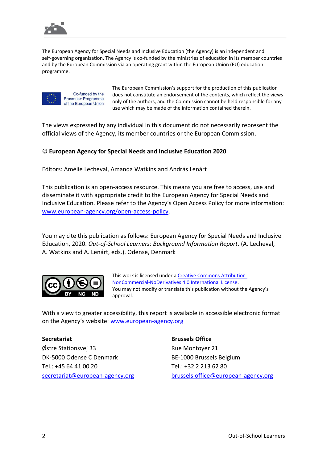

The European Agency for Special Needs and Inclusive Education (the Agency) is an independent and self-governing organisation. The Agency is co-funded by the ministries of education in its member countries and by the European Commission via an operating grant within the European Union (EU) education programme.



Co-funded by the Erasmus+ Programme of the European Union The European Commission's support for the production of this publication does not constitute an endorsement of the contents, which reflect the views only of the authors, and the Commission cannot be held responsible for any use which may be made of the information contained therein.

The views expressed by any individual in this document do not necessarily represent the official views of the Agency, its member countries or the European Commission.

### © **European Agency for Special Needs and Inclusive Education 2020**

Editors: Amélie Lecheval, Amanda Watkins and András Lenárt

This publication is an open-access resource. This means you are free to access, use and disseminate it with appropriate credit to the European Agency for Special Needs and Inclusive Education. Please refer to the Agency's Open Access Policy for more information: [www.european-agency.org/open-access-policy.](http://www.european-agency.org/open-access-policy)

You may cite this publication as follows: European Agency for Special Needs and Inclusive Education, 2020. *Out-of-School Learners: Background Information Report*. (A. Lecheval, A. Watkins and A. Lenárt, eds.). Odense, Denmark



This work is licensed under a [Creative Commons Attribution-](https://creativecommons.org/licenses/by-nc-nd/4.0/)[NonCommercial-NoDerivatives 4.0 International License.](https://creativecommons.org/licenses/by-nc-nd/4.0/) You may not modify or translate this publication without the Agency's approval.

With a view to greater accessibility, this report is available in accessible electronic format on the Agency's website: [www.european-agency.org](http://www.european-agency.org/)

#### **Secretariat**

Østre Stationsvej 33 DK-5000 Odense C Denmark Tel.: +45 64 41 00 20 [secretariat@european-agency.org](mailto:secretariat@european-agency.org) **Brussels Office**

Rue Montoyer 21 BE-1000 Brussels Belgium Tel.: +32 2 213 62 80 [brussels.office@european-agency.org](mailto:brussels.office@european-agency.org)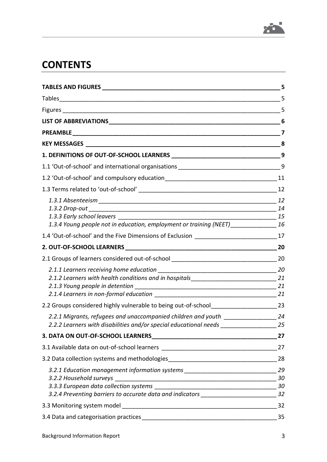

# **CONTENTS**

|                                                                                            | 5  |
|--------------------------------------------------------------------------------------------|----|
|                                                                                            | 5  |
|                                                                                            | 5  |
|                                                                                            | 6  |
|                                                                                            | 7  |
|                                                                                            | 8  |
|                                                                                            | 9  |
| 1.1 'Out-of-school' and international organisations ____________________________           | 9  |
|                                                                                            |    |
|                                                                                            |    |
|                                                                                            | 12 |
|                                                                                            |    |
|                                                                                            |    |
| 1.3.4 Young people not in education, employment or training (NEET)______________ 16        |    |
| 1.4 'Out-of-school' and the Five Dimensions of Exclusion 17                                |    |
|                                                                                            |    |
| 2.1 Groups of learners considered out-of-school ________________________________           | 20 |
|                                                                                            |    |
| 2.1.2 Learners with health conditions and in hospitals__________________________________21 |    |
|                                                                                            |    |
|                                                                                            |    |
| 2.2 Groups considered highly vulnerable to being out-of-school________________________23   |    |
| 2.2.1 Migrants, refugees and unaccompanied children and youth _________________            | 24 |
| 2.2.2 Learners with disabilities and/or special educational needs                          | 25 |
| 3. DATA ON OUT-OF-SCHOOL LEARNERS                                                          | 27 |
| 3.1 Available data on out-of-school learners                                               | 27 |
| 3.2 Data collection systems and methodologies __________________________________           | 28 |
| 3.2.1 Education management information systems _________________________________           | 29 |
| 3.2.2 Household surveys                                                                    | 30 |
|                                                                                            | 30 |
| 3.2.4 Preventing barriers to accurate data and indicators ______________________           | 32 |
|                                                                                            | 32 |
|                                                                                            | 35 |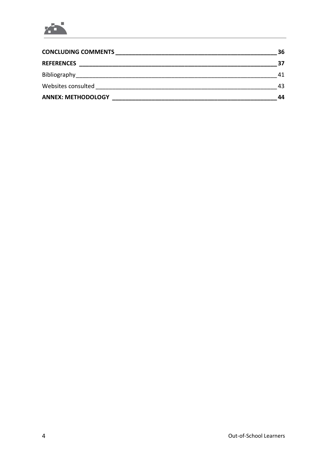

| <b>CONCLUDING COMMENTS</b> | 36 |
|----------------------------|----|
| <b>REFERENCES</b>          | 37 |
| Bibliography               | 41 |
| Websites consulted         | 43 |
| <b>ANNEX: METHODOLOGY</b>  | 44 |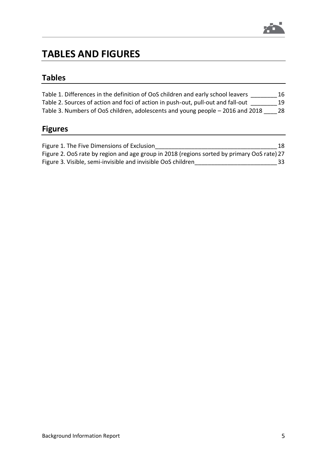

# <span id="page-4-0"></span>**TABLES AND FIGURES**

# <span id="page-4-1"></span>**Tables**

| Table 1. Differences in the definition of OoS children and early school leavers  | 16 |
|----------------------------------------------------------------------------------|----|
| Table 2. Sources of action and foci of action in push-out, pull-out and fall-out | 19 |
| Table 3. Numbers of OoS children, adolescents and young people – 2016 and 2018   | 28 |

# <span id="page-4-2"></span>**Figures**

| Figure 1. The Five Dimensions of Exclusion                   | 18                                                                                         |
|--------------------------------------------------------------|--------------------------------------------------------------------------------------------|
|                                                              | Figure 2. OoS rate by region and age group in 2018 (regions sorted by primary OoS rate) 27 |
| Figure 3. Visible, semi-invisible and invisible OoS children | 33                                                                                         |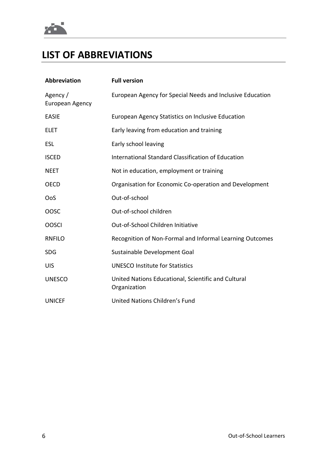

# <span id="page-5-0"></span>**LIST OF ABBREVIATIONS**

| Abbreviation                | <b>Full version</b>                                                 |
|-----------------------------|---------------------------------------------------------------------|
| Agency /<br>European Agency | European Agency for Special Needs and Inclusive Education           |
| <b>EASIE</b>                | European Agency Statistics on Inclusive Education                   |
| <b>ELET</b>                 | Early leaving from education and training                           |
| <b>ESL</b>                  | Early school leaving                                                |
| <b>ISCED</b>                | International Standard Classification of Education                  |
| <b>NEET</b>                 | Not in education, employment or training                            |
| <b>OECD</b>                 | Organisation for Economic Co-operation and Development              |
| OoS                         | Out-of-school                                                       |
| OOSC                        | Out-of-school children                                              |
| <b>OOSCI</b>                | Out-of-School Children Initiative                                   |
| <b>RNFILO</b>               | Recognition of Non-Formal and Informal Learning Outcomes            |
| <b>SDG</b>                  | Sustainable Development Goal                                        |
| <b>UIS</b>                  | <b>UNESCO Institute for Statistics</b>                              |
| <b>UNESCO</b>               | United Nations Educational, Scientific and Cultural<br>Organization |
| <b>UNICEF</b>               | United Nations Children's Fund                                      |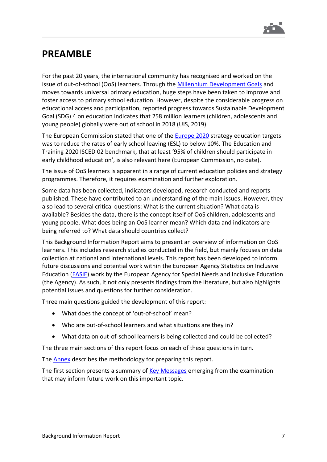

# <span id="page-6-0"></span>**PREAMBLE**

For the past 20 years, the international community has recognised and worked on the issue of out-of-school (OoS) learners. Through the [Millennium Development Goals](https://www.un.org/millenniumgoals/education.shtml) and moves towards universal primary education, huge steps have been taken to improve and foster access to primary school education. However, despite the considerable progress on educational access and participation, reported progress towards Sustainable Development Goal (SDG) 4 on education indicates that 258 million learners (children, adolescents and young people) globally were out of school in 2018 (UIS, 2019).

The European Commission stated that one of the [Europe](https://ec.europa.eu/education/policies/school/early-school-leaving_en) 2020 strategy education targets was to reduce the rates of early school leaving (ESL) to below 10%. The Education and Training 2020 ISCED 02 benchmark, that at least '95% of children should participate in early childhood education', is also relevant here (European Commission, no date).

The issue of OoS learners is apparent in a range of current education policies and strategy programmes. Therefore, it requires examination and further exploration.

Some data has been collected, indicators developed, research conducted and reports published. These have contributed to an understanding of the main issues. However, they also lead to several critical questions: What is the current situation? What data is available? Besides the data, there is the concept itself of OoS children, adolescents and young people. What does being an OoS learner mean? Which data and indicators are being referred to? What data should countries collect?

This Background Information Report aims to present an overview of information on OoS learners. This includes research studies conducted in the field, but mainly focuses on data collection at national and international levels. This report has been developed to inform future discussions and potential work within the European Agency Statistics on Inclusive Education [\(EASIE\)](https://www.european-agency.org/data) work by the European Agency for Special Needs and Inclusive Education (the Agency). As such, it not only presents findings from the literature, but also highlights potential issues and questions for further consideration.

Three main questions guided the development of this report:

- What does the concept of 'out-of-school' mean?
- Who are out-of-school learners and what situations are they in?
- What data on out-of-school learners is being collected and could be collected?

The three main sections of this report focus on each of these questions in turn.

The [Annex](#page-43-0) describes the methodology for preparing this report.

The first section presents a summary of [Key Messages](#page-7-1) emerging from the examination that may inform future work on this important topic.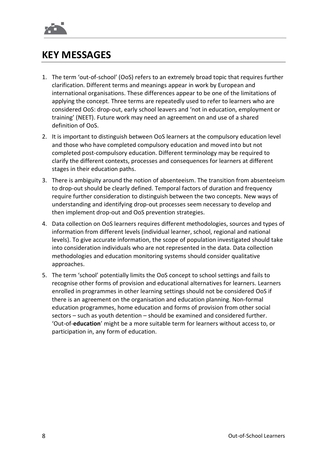

# <span id="page-7-1"></span><span id="page-7-0"></span>**KEY MESSAGES**

- 1. The term 'out-of-school' (OoS) refers to an extremely broad topic that requires further clarification. Different terms and meanings appear in work by European and international organisations. These differences appear to be one of the limitations of applying the concept. Three terms are repeatedly used to refer to learners who are considered OoS: drop-out, early school leavers and 'not in education, employment or training' (NEET). Future work may need an agreement on and use of a shared definition of OoS.
- 2. It is important to distinguish between OoS learners at the compulsory education level and those who have completed compulsory education and moved into but not completed post-compulsory education. Different terminology may be required to clarify the different contexts, processes and consequences for learners at different stages in their education paths.
- 3. There is ambiguity around the notion of absenteeism. The transition from absenteeism to drop-out should be clearly defined. Temporal factors of duration and frequency require further consideration to distinguish between the two concepts. New ways of understanding and identifying drop-out processes seem necessary to develop and then implement drop-out and OoS prevention strategies.
- 4. Data collection on OoS learners requires different methodologies, sources and types of information from different levels (individual learner, school, regional and national levels). To give accurate information, the scope of population investigated should take into consideration individuals who are not represented in the data. Data collection methodologies and education monitoring systems should consider qualitative approaches.
- 5. The term 'school' potentially limits the OoS concept to school settings and fails to recognise other forms of provision and educational alternatives for learners. Learners enrolled in programmes in other learning settings should not be considered OoS if there is an agreement on the organisation and education planning. Non-formal education programmes, home education and forms of provision from other social sectors – such as youth detention – should be examined and considered further. 'Out-of-**education**' might be a more suitable term for learners without access to, or participation in, any form of education.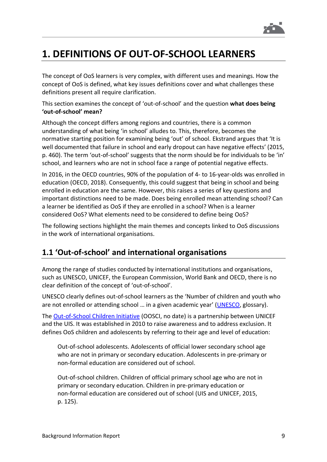

# <span id="page-8-0"></span>**1. DEFINITIONS OF OUT-OF-SCHOOL LEARNERS**

The concept of OoS learners is very complex, with different uses and meanings. How the concept of OoS is defined, what key issues definitions cover and what challenges these definitions present all require clarification.

This section examines the concept of 'out-of-school' and the question **what does being 'out-of-school' mean?**

Although the concept differs among regions and countries, there is a common understanding of what being 'in school' alludes to. This, therefore, becomes the normative starting position for examining being 'out' of school. Ekstrand argues that 'It is well documented that failure in school and early dropout can have negative effects' (2015, p. 460). The term 'out-of-school' suggests that the norm should be for individuals to be 'in' school, and learners who are not in school face a range of potential negative effects.

In 2016, in the OECD countries, 90% of the population of 4- to 16-year-olds was enrolled in education (OECD, 2018). Consequently, this could suggest that being in school and being enrolled in education are the same. However, this raises a series of key questions and important distinctions need to be made. Does being enrolled mean attending school? Can a learner be identified as OoS if they are enrolled in a school? When is a learner considered OoS? What elements need to be considered to define being OoS?

The following sections highlight the main themes and concepts linked to OoS discussions in the work of international organisations.

# <span id="page-8-1"></span>**1.1 'Out-of-school' and international organisations**

Among the range of studies conducted by international institutions and organisations, such as UNESCO, UNICEF, the European Commission, World Bank and OECD, there is no clear definition of the concept of 'out-of-school'.

UNESCO clearly defines out-of-school learners as the 'Number of children and youth who are not enrolled or attending school … in a given academic year' [\(UNESCO,](http://uis.unesco.org/en/glossary) glossary).

The [Out-of-School Children Initiative](https://www.allinschool.org/) (OOSCI, no date) is a partnership between UNICEF and the UIS. It was established in 2010 to raise awareness and to address exclusion. It defines OoS children and adolescents by referring to their age and level of education:

Out-of-school adolescents. Adolescents of official lower secondary school age who are not in primary or secondary education. Adolescents in pre-primary or non-formal education are considered out of school.

Out-of-school children. Children of official primary school age who are not in primary or secondary education. Children in pre-primary education or non-formal education are considered out of school (UIS and UNICEF, 2015, p. 125).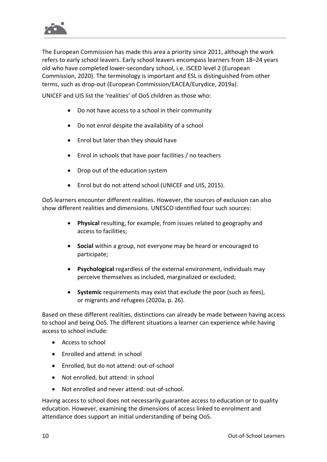

The European Commission has made this area a priority since 2011, although the work refers to early school leavers. Early school leavers encompass learners from 18–24 years old who have completed lower-secondary school, i.e. ISCED level 2 (European Commission, 2020). The terminology is important and ESL is distinguished from other terms, such as drop-out (European Commission/EACEA/Eurydice, 2019a).

UNICEF and UIS list the 'realities' of OoS children as those who:

- Do not have access to a school in their community
- Do not enrol despite the availability of a school
- Enrol but later than they should have
- Enrol in schools that have poor facilities / no teachers
- Drop out of the education system
- Enrol but do not attend school (UNICEF and UIS, 2015).

OoS learners encounter different realities. However, the sources of exclusion can also show different realities and dimensions. UNESCO identified four such sources:

- **Physical** resulting, for example, from issues related to geography and access to facilities;
- **Social** within a group, not everyone may be heard or encouraged to participate;
- **Psychological** regardless of the external environment, individuals may perceive themselves as included, marginalized or excluded;
- **Systemic** requirements may exist that exclude the poor (such as fees), or migrants and refugees (2020a, p. 26).

Based on these different realities, distinctions can already be made between having access to school and being OoS. The different situations a learner can experience while having access to school include:

- Access to school
- Enrolled and attend: in school
- Enrolled, but do not attend: out-of-school
- Not enrolled, but attend: in school
- Not enrolled and never attend: out-of-school.

Having access to school does not necessarily guarantee access to education or to quality education. However, examining the dimensions of access linked to enrolment and attendance does support an initial understanding of being OoS.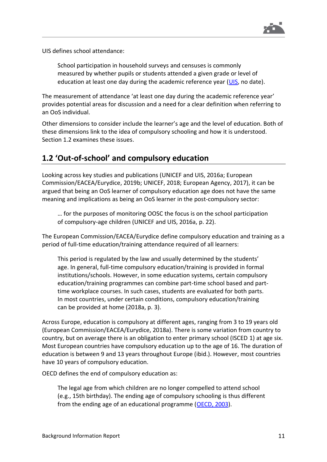

UIS defines school attendance:

School participation in household surveys and censuses is commonly measured by whether pupils or students attended a given grade or level of education at least one day during the academic reference year [\(UIS,](http://uis.unesco.org/en/glossary) no date).

The measurement of attendance 'at least one day during the academic reference year' provides potential areas for discussion and a need for a clear definition when referring to an OoS individual.

Other dimensions to consider include the learner's age and the level of education. Both of these dimensions link to the idea of compulsory schooling and how it is understood. Section 1.2 examines these issues.

### <span id="page-10-0"></span>**1.2 'Out-of-school' and compulsory education**

Looking across key studies and publications (UNICEF and UIS, 2016a; European Commission/EACEA/Eurydice, 2019b; UNICEF, 2018; European Agency, 2017), it can be argued that being an OoS learner of compulsory education age does not have the same meaning and implications as being an OoS learner in the post-compulsory sector:

… for the purposes of monitoring OOSC the focus is on the school participation of compulsory-age children (UNICEF and UIS, 2016a, p. 22).

The European Commission/EACEA/Eurydice define compulsory education and training as a period of full-time education/training attendance required of all learners:

This period is regulated by the law and usually determined by the students' age. In general, full-time compulsory education/training is provided in formal institutions/schools. However, in some education systems, certain compulsory education/training programmes can combine part-time school based and parttime workplace courses. In such cases, students are evaluated for both parts. In most countries, under certain conditions, compulsory education/training can be provided at home (2018a, p. 3).

Across Europe, education is compulsory at different ages, ranging from 3 to 19 years old (European Commission/EACEA/Eurydice, 2018a). There is some variation from country to country, but on average there is an obligation to enter primary school (ISCED 1) at age six. Most European countries have compulsory education up to the age of 16. The duration of education is between 9 and 13 years throughout Europe (ibid.). However, most countries have 10 years of compulsory education.

OECD defines the end of compulsory education as:

The legal age from which children are no longer compelled to attend school (e.g., 15th birthday). The ending age of compulsory schooling is thus different from the ending age of an educational programme [\(OECD, 2003\)](https://stats.oecd.org/glossary/detail.asp?ID=5351).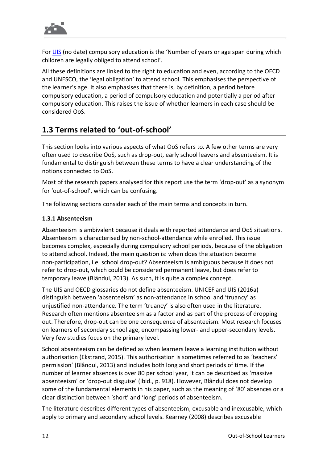For [UIS](http://uis.unesco.org/en/glossary) (no date) compulsory education is the 'Number of years or age span during which children are legally obliged to attend school'.

All these definitions are linked to the right to education and even, according to the OECD and UNESCO, the 'legal obligation' to attend school. This emphasises the perspective of the learner's age. It also emphasises that there is, by definition, a period before compulsory education, a period of compulsory education and potentially a period after compulsory education. This raises the issue of whether learners in each case should be considered OoS.

# <span id="page-11-0"></span>**1.3 Terms related to 'out-of-school'**

This section looks into various aspects of what OoS refers to. A few other terms are very often used to describe OoS, such as drop-out, early school leavers and absenteeism. It is fundamental to distinguish between these terms to have a clear understanding of the notions connected to OoS.

Most of the research papers analysed for this report use the term 'drop-out' as a synonym for 'out-of-school', which can be confusing.

The following sections consider each of the main terms and concepts in turn.

### <span id="page-11-1"></span>**1.3.1 Absenteeism**

Absenteeism is ambivalent because it deals with reported attendance and OoS situations. Absenteeism is characterised by non-school-attendance while enrolled. This issue becomes complex, especially during compulsory school periods, because of the obligation to attend school. Indeed, the main question is: when does the situation become non-participation, i.e. school drop-out? Absenteeism is ambiguous because it does not refer to drop-out, which could be considered permanent leave, but does refer to temporary leave (Blândul, 2013). As such, it is quite a complex concept.

The UIS and OECD glossaries do not define absenteeism. UNICEF and UIS (2016a) distinguish between 'absenteeism' as non-attendance in school and 'truancy' as unjustified non-attendance. The term 'truancy' is also often used in the literature. Research often mentions absenteeism as a factor and as part of the process of dropping out. Therefore, drop-out can be one consequence of absenteeism. Most research focuses on learners of secondary school age, encompassing lower- and upper-secondary levels. Very few studies focus on the primary level.

School absenteeism can be defined as when learners leave a learning institution without authorisation (Ekstrand, 2015). This authorisation is sometimes referred to as 'teachers' permission' (Blândul, 2013) and includes both long and short periods of time. If the number of learner absences is over 80 per school year, it can be described as 'massive absenteeism' or 'drop-out disguise' (ibid., p. 918). However, Blândul does not develop some of the fundamental elements in his paper, such as the meaning of '80' absences or a clear distinction between 'short' and 'long' periods of absenteeism.

The literature describes different types of absenteeism, excusable and inexcusable, which apply to primary and secondary school levels. Kearney (2008) describes excusable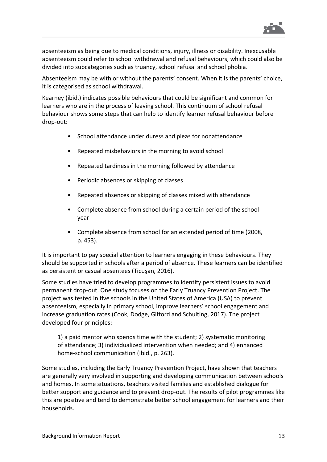

absenteeism as being due to medical conditions, injury, illness or disability. Inexcusable absenteeism could refer to school withdrawal and refusal behaviours, which could also be divided into subcategories such as truancy, school refusal and school phobia.

Absenteeism may be with or without the parents' consent. When it is the parents' choice, it is categorised as school withdrawal.

Kearney (ibid.) indicates possible behaviours that could be significant and common for learners who are in the process of leaving school. This continuum of school refusal behaviour shows some steps that can help to identify learner refusal behaviour before drop-out:

- School attendance under duress and pleas for nonattendance
- Repeated misbehaviors in the morning to avoid school
- Repeated tardiness in the morning followed by attendance
- Periodic absences or skipping of classes
- Repeated absences or skipping of classes mixed with attendance
- Complete absence from school during a certain period of the school year
- Complete absence from school for an extended period of time (2008, p. 453).

It is important to pay special attention to learners engaging in these behaviours. They should be supported in schools after a period of absence. These learners can be identified as persistent or casual absentees (Ticuşan, 2016).

Some studies have tried to develop programmes to identify persistent issues to avoid permanent drop-out. One study focuses on the Early Truancy Prevention Project. The project was tested in five schools in the United States of America (USA) to prevent absenteeism, especially in primary school, improve learners' school engagement and increase graduation rates (Cook, Dodge, Gifford and Schulting, 2017). The project developed four principles:

1) a paid mentor who spends time with the student; 2) systematic monitoring of attendance; 3) individualized intervention when needed; and 4) enhanced home-school communication (ibid., p. 263).

Some studies, including the Early Truancy Prevention Project, have shown that teachers are generally very involved in supporting and developing communication between schools and homes. In some situations, teachers visited families and established dialogue for better support and guidance and to prevent drop-out. The results of pilot programmes like this are positive and tend to demonstrate better school engagement for learners and their households.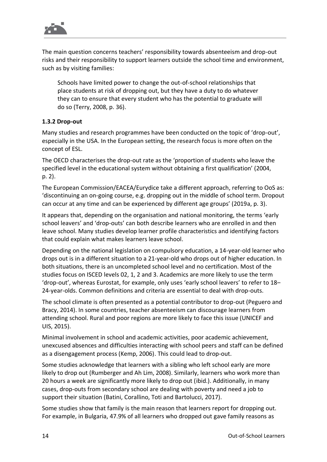

The main question concerns teachers' responsibility towards absenteeism and drop-out risks and their responsibility to support learners outside the school time and environment, such as by visiting families:

Schools have limited power to change the out-of-school relationships that place students at risk of dropping out, but they have a duty to do whatever they can to ensure that every student who has the potential to graduate will do so (Terry, 2008, p. 36).

### <span id="page-13-0"></span>**1.3.2 Drop-out**

Many studies and research programmes have been conducted on the topic of 'drop-out', especially in the USA. In the European setting, the research focus is more often on the concept of ESL.

The OECD characterises the drop-out rate as the 'proportion of students who leave the specified level in the educational system without obtaining a first qualification' (2004, p. 2).

The European Commission/EACEA/Eurydice take a different approach, referring to OoS as: 'discontinuing an on-going course, e.g. dropping out in the middle of school term. Dropout can occur at any time and can be experienced by different age groups' (2019a, p. 3).

It appears that, depending on the organisation and national monitoring, the terms 'early school leavers' and 'drop-outs' can both describe learners who are enrolled in and then leave school. Many studies develop learner profile characteristics and identifying factors that could explain what makes learners leave school.

Depending on the national legislation on compulsory education, a 14-year-old learner who drops out is in a different situation to a 21-year-old who drops out of higher education. In both situations, there is an uncompleted school level and no certification. Most of the studies focus on ISCED levels 02, 1, 2 and 3. Academics are more likely to use the term 'drop-out', whereas Eurostat, for example, only uses 'early school leavers' to refer to 18– 24-year-olds. Common definitions and criteria are essential to deal with drop-outs.

The school climate is often presented as a potential contributor to drop-out (Peguero and Bracy, 2014). In some countries, teacher absenteeism can discourage learners from attending school. Rural and poor regions are more likely to face this issue (UNICEF and UIS, 2015).

Minimal involvement in school and academic activities, poor academic achievement, unexcused absences and difficulties interacting with school peers and staff can be defined as a disengagement process (Kemp, 2006). This could lead to drop-out.

Some studies acknowledge that learners with a sibling who left school early are more likely to drop out (Rumberger and Ah Lim, 2008). Similarly, learners who work more than 20 hours a week are significantly more likely to drop out (ibid.). Additionally, in many cases, drop-outs from secondary school are dealing with poverty and need a job to support their situation (Batini, Corallino, Toti and Bartolucci, 2017).

Some studies show that family is the main reason that learners report for dropping out. For example, in Bulgaria, 47.9% of all learners who dropped out gave family reasons as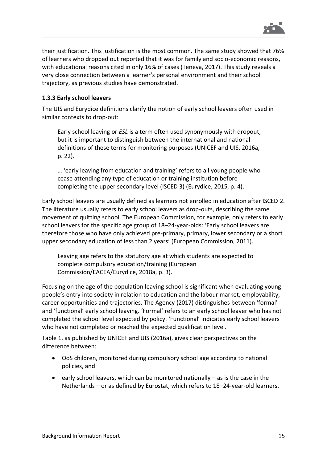

their justification. This justification is the most common. The same study showed that 76% of learners who dropped out reported that it was for family and socio-economic reasons, with educational reasons cited in only 16% of cases (Teneva, 2017). This study reveals a very close connection between a learner's personal environment and their school trajectory, as previous studies have demonstrated.

### <span id="page-14-0"></span>**1.3.3 Early school leavers**

The UIS and Eurydice definitions clarify the notion of early school leavers often used in similar contexts to drop-out:

Early school leaving or *ESL* is a term often used synonymously with dropout, but it is important to distinguish between the international and national definitions of these terms for monitoring purposes (UNICEF and UIS, 2016a, p. 22).

… 'early leaving from education and training' refers to all young people who cease attending any type of education or training institution before completing the upper secondary level (ISCED 3) (Eurydice, 2015, p. 4).

Early school leavers are usually defined as learners not enrolled in education after ISCED 2. The literature usually refers to early school leavers as drop-outs, describing the same movement of quitting school. The European Commission, for example, only refers to early school leavers for the specific age group of 18–24-year-olds: 'Early school leavers are therefore those who have only achieved pre-primary, primary, lower secondary or a short upper secondary education of less than 2 years' (European Commission, 2011).

Leaving age refers to the statutory age at which students are expected to complete compulsory education/training (European Commission/EACEA/Eurydice, 2018a, p. 3).

Focusing on the age of the population leaving school is significant when evaluating young people's entry into society in relation to education and the labour market, employability, career opportunities and trajectories. The Agency (2017) distinguishes between 'formal' and 'functional' early school leaving. 'Formal' refers to an early school leaver who has not completed the school level expected by policy. 'Functional' indicates early school leavers who have not completed or reached the expected qualification level.

Table 1, as published by UNICEF and UIS (2016a), gives clear perspectives on the difference between:

- OoS children, monitored during compulsory school age according to national policies, and
- early school leavers, which can be monitored nationally as is the case in the Netherlands – or as defined by Eurostat, which refers to 18–24-year-old learners.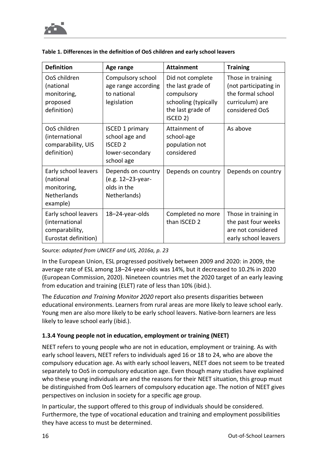

| <b>Definition</b>                                                                  | Age range                                                                                   | <b>Attainment</b>                                                                                                        | <b>Training</b>                                                                                      |
|------------------------------------------------------------------------------------|---------------------------------------------------------------------------------------------|--------------------------------------------------------------------------------------------------------------------------|------------------------------------------------------------------------------------------------------|
| OoS children<br>(national<br>monitoring,<br>proposed<br>definition)                | Compulsory school<br>age range according<br>to national<br>legislation                      | Did not complete<br>the last grade of<br>compulsory<br>schooling (typically<br>the last grade of<br>ISCED <sub>2</sub> ) | Those in training<br>(not participating in<br>the formal school<br>curriculum) are<br>considered OoS |
| OoS children<br>(international<br>comparability, UIS<br>definition)                | <b>ISCED 1 primary</b><br>school age and<br><b>ISCED 2</b><br>lower-secondary<br>school age | Attainment of<br>school-age<br>population not<br>considered                                                              | As above                                                                                             |
| Early school leavers<br>(national<br>monitoring,<br><b>Netherlands</b><br>example) | Depends on country<br>(e.g. 12-23-year-<br>olds in the<br>Netherlands)                      | Depends on country                                                                                                       | Depends on country                                                                                   |
| Early school leavers<br>(international<br>comparability,<br>Eurostat definition)   | 18-24-year-olds                                                                             | Completed no more<br>than ISCED 2                                                                                        | Those in training in<br>the past four weeks<br>are not considered<br>early school leavers            |

#### <span id="page-15-1"></span>**Table 1. Differences in the definition of OoS children and early school leavers**

Source: *adapted from UNICEF and UIS, 2016a, p. 23*

In the European Union, ESL progressed positively between 2009 and 2020: in 2009, the average rate of ESL among 18–24-year-olds was 14%, but it decreased to 10.2% in 2020 (European Commission, 2020). Nineteen countries met the 2020 target of an early leaving from education and training (ELET) rate of less than 10% (ibid.).

The *Education and Training Monitor 2020* report also presents disparities between educational environments. Learners from rural areas are more likely to leave school early. Young men are also more likely to be early school leavers. Native-born learners are less likely to leave school early (ibid.).

### <span id="page-15-0"></span>**1.3.4 Young people not in education, employment or training (NEET)**

NEET refers to young people who are not in education, employment or training. As with early school leavers, NEET refers to individuals aged 16 or 18 to 24, who are above the compulsory education age. As with early school leavers, NEET does not seem to be treated separately to OoS in compulsory education age. Even though many studies have explained who these young individuals are and the reasons for their NEET situation, this group must be distinguished from OoS learners of compulsory education age. The notion of NEET gives perspectives on inclusion in society for a specific age group.

In particular, the support offered to this group of individuals should be considered. Furthermore, the type of vocational education and training and employment possibilities they have access to must be determined.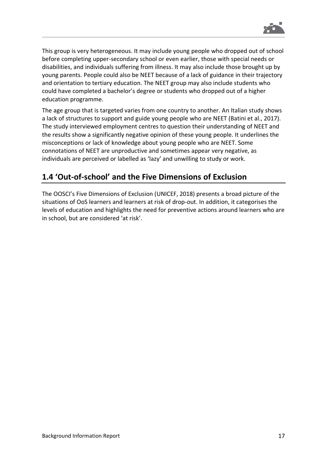

This group is very heterogeneous. It may include young people who dropped out of school before completing upper-secondary school or even earlier, those with special needs or disabilities, and individuals suffering from illness. It may also include those brought up by young parents. People could also be NEET because of a lack of guidance in their trajectory and orientation to tertiary education. The NEET group may also include students who could have completed a bachelor's degree or students who dropped out of a higher education programme.

The age group that is targeted varies from one country to another. An Italian study shows a lack of structures to support and guide young people who are NEET (Batini et al., 2017). The study interviewed employment centres to question their understanding of NEET and the results show a significantly negative opinion of these young people. It underlines the misconceptions or lack of knowledge about young people who are NEET. Some connotations of NEET are unproductive and sometimes appear very negative, as individuals are perceived or labelled as 'lazy' and unwilling to study or work.

# <span id="page-16-0"></span>**1.4 'Out-of-school' and the Five Dimensions of Exclusion**

The OOSCI's Five Dimensions of Exclusion (UNICEF, 2018) presents a broad picture of the situations of OoS learners and learners at risk of drop-out. In addition, it categorises the levels of education and highlights the need for preventive actions around learners who are in school, but are considered 'at risk'.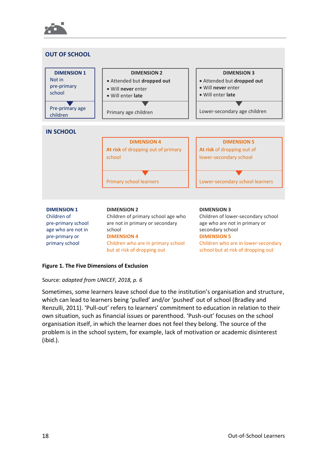

but at risk of dropping out

# school but at risk of dropping out

### **Figure 1. The Five Dimensions of Exclusion**

### Source: *adapted from UNICEF, 2018, p. 6*

Sometimes, some learners leave school due to the institution's organisation and structure, which can lead to learners being 'pulled' and/or 'pushed' out of school (Bradley and Renzulli, 2011). 'Pull-out' refers to learners' commitment to education in relation to their own situation, such as financial issues or parenthood. 'Push-out' focuses on the school organisation itself, in which the learner does not feel they belong. The source of the problem is in the school system, for example, lack of motivation or academic disinterest (ibid.).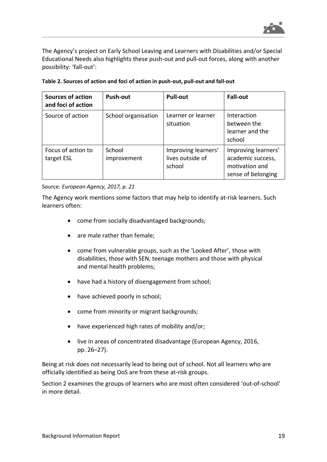

The Agency's project on Early School Leaving and Learners with Disabilities and/or Special Educational Needs also highlights these push-out and pull-out forces, along with another possibility: 'fall-out':

| <b>Sources of action</b><br>and foci of action | Push-out              | <b>Pull-out</b>                                   | <b>Fall-out</b>                                                                  |
|------------------------------------------------|-----------------------|---------------------------------------------------|----------------------------------------------------------------------------------|
| Source of action                               | School organisation   | Learner or learner<br>situation                   | Interaction<br>between the<br>learner and the<br>school                          |
| Focus of action to<br>target ESL               | School<br>improvement | Improving learners'<br>lives outside of<br>school | Improving learners'<br>academic success,<br>motivation and<br>sense of belonging |

<span id="page-18-0"></span>

Source: *European Agency, 2017, p. 21*

The Agency work mentions some factors that may help to identify at-risk learners. Such learners often:

- come from socially disadvantaged backgrounds;
- are male rather than female;
- come from vulnerable groups, such as the 'Looked After', those with disabilities, those with SEN, teenage mothers and those with physical and mental health problems;
- have had a history of disengagement from school;
- have achieved poorly in school;
- come from minority or migrant backgrounds;
- have experienced high rates of mobility and/or;
- live in areas of concentrated disadvantage (European Agency, 2016, pp. 26–27).

Being at risk does not necessarily lead to being out of school. Not all learners who are officially identified as being OoS are from these at-risk groups.

Section 2 examines the groups of learners who are most often considered 'out-of-school' in more detail.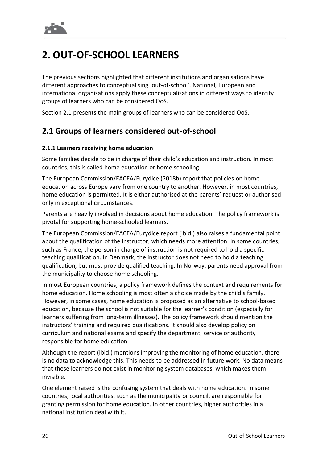

# <span id="page-19-0"></span>**2. OUT-OF-SCHOOL LEARNERS**

The previous sections highlighted that different institutions and organisations have different approaches to conceptualising 'out-of-school'. National, European and international organisations apply these conceptualisations in different ways to identify groups of learners who can be considered OoS.

Section 2.1 presents the main groups of learners who can be considered OoS.

### <span id="page-19-1"></span>**2.1 Groups of learners considered out-of-school**

#### <span id="page-19-2"></span>**2.1.1 Learners receiving home education**

Some families decide to be in charge of their child's education and instruction. In most countries, this is called home education or home schooling.

The European Commission/EACEA/Eurydice (2018b) report that policies on home education across Europe vary from one country to another. However, in most countries, home education is permitted. It is either authorised at the parents' request or authorised only in exceptional circumstances.

Parents are heavily involved in decisions about home education. The policy framework is pivotal for supporting home-schooled learners.

The European Commission/EACEA/Eurydice report (ibid.) also raises a fundamental point about the qualification of the instructor, which needs more attention. In some countries, such as France, the person in charge of instruction is not required to hold a specific teaching qualification. In Denmark, the instructor does not need to hold a teaching qualification, but must provide qualified teaching. In Norway, parents need approval from the municipality to choose home schooling.

In most European countries, a policy framework defines the context and requirements for home education. Home schooling is most often a choice made by the child's family. However, in some cases, home education is proposed as an alternative to school-based education, because the school is not suitable for the learner's condition (especially for learners suffering from long-term illnesses). The policy framework should mention the instructors' training and required qualifications. It should also develop policy on curriculum and national exams and specify the department, service or authority responsible for home education.

Although the report (ibid.) mentions improving the monitoring of home education, there is no data to acknowledge this. This needs to be addressed in future work. No data means that these learners do not exist in monitoring system databases, which makes them invisible.

One element raised is the confusing system that deals with home education. In some countries, local authorities, such as the municipality or council, are responsible for granting permission for home education. In other countries, higher authorities in a national institution deal with it.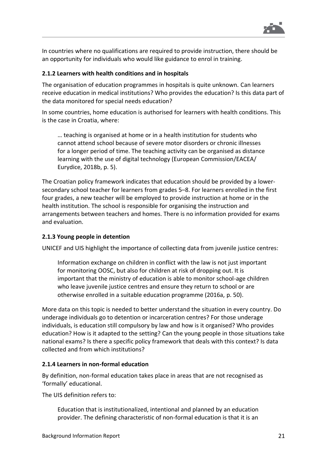

In countries where no qualifications are required to provide instruction, there should be an opportunity for individuals who would like guidance to enrol in training.

### <span id="page-20-0"></span>**2.1.2 Learners with health conditions and in hospitals**

The organisation of education programmes in hospitals is quite unknown. Can learners receive education in medical institutions? Who provides the education? Is this data part of the data monitored for special needs education?

In some countries, home education is authorised for learners with health conditions. This is the case in Croatia, where:

… teaching is organised at home or in a health institution for students who cannot attend school because of severe motor disorders or chronic illnesses for a longer period of time. The teaching activity can be organised as distance learning with the use of digital technology (European Commission/EACEA/ Eurydice, 2018b, p. 5).

The Croatian policy framework indicates that education should be provided by a lowersecondary school teacher for learners from grades 5–8. For learners enrolled in the first four grades, a new teacher will be employed to provide instruction at home or in the health institution. The school is responsible for organising the instruction and arrangements between teachers and homes. There is no information provided for exams and evaluation.

#### <span id="page-20-1"></span>**2.1.3 Young people in detention**

UNICEF and UIS highlight the importance of collecting data from juvenile justice centres:

Information exchange on children in conflict with the law is not just important for monitoring OOSC, but also for children at risk of dropping out. It is important that the ministry of education is able to monitor school-age children who leave juvenile justice centres and ensure they return to school or are otherwise enrolled in a suitable education programme (2016a, p. 50).

More data on this topic is needed to better understand the situation in every country. Do underage individuals go to detention or incarceration centres? For those underage individuals, is education still compulsory by law and how is it organised? Who provides education? How is it adapted to the setting? Can the young people in those situations take national exams? Is there a specific policy framework that deals with this context? Is data collected and from which institutions?

#### <span id="page-20-2"></span>**2.1.4 Learners in non-formal education**

By definition, non-formal education takes place in areas that are not recognised as 'formally' educational.

The UIS definition refers to:

Education that is institutionalized, intentional and planned by an education provider. The defining characteristic of non-formal education is that it is an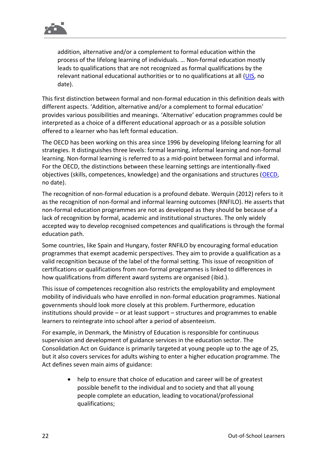

addition, alternative and/or a complement to formal education within the process of the lifelong learning of individuals. … Non-formal education mostly leads to qualifications that are not recognized as formal qualifications by the relevant national educational authorities or to no qualifications at all [\(UIS,](http://uis.unesco.org/en/glossary-term/non-formal-education) no date).

This first distinction between formal and non-formal education in this definition deals with different aspects. 'Addition, alternative and/or a complement to formal education' provides various possibilities and meanings. 'Alternative' education programmes could be interpreted as a choice of a different educational approach or as a possible solution offered to a learner who has left formal education.

The OECD has been working on this area since 1996 by developing lifelong learning for all strategies. It distinguishes three levels: formal learning, informal learning and non-formal learning. Non-formal learning is referred to as a mid-point between formal and informal. For the OECD, the distinctions between these learning settings are intentionally-fixed objectives (skills, competences, knowledge) and the organisations and structures [\(OECD,](http://www.oecd.org/education/skills-beyond-school/recognitionofnon-formalandinformallearning-home.htm) no date).

The recognition of non-formal education is a profound debate. Werquin (2012) refers to it as the recognition of non-formal and informal learning outcomes (RNFILO). He asserts that non-formal education programmes are not as developed as they should be because of a lack of recognition by formal, academic and institutional structures. The only widely accepted way to develop recognised competences and qualifications is through the formal education path.

Some countries, like Spain and Hungary, foster RNFILO by encouraging formal education programmes that exempt academic perspectives. They aim to provide a qualification as a valid recognition because of the label of the formal setting. This issue of recognition of certifications or qualifications from non-formal programmes is linked to differences in how qualifications from different award systems are organised (ibid.).

This issue of competences recognition also restricts the employability and employment mobility of individuals who have enrolled in non-formal education programmes. National governments should look more closely at this problem. Furthermore, education institutions should provide – or at least support – structures and programmes to enable learners to reintegrate into school after a period of absenteeism.

For example, in Denmark, the Ministry of Education is responsible for continuous supervision and development of guidance services in the education sector. The Consolidation Act on Guidance is primarily targeted at young people up to the age of 25, but it also covers services for adults wishing to enter a higher education programme. The Act defines seven main aims of guidance:

> • help to ensure that choice of education and career will be of greatest possible benefit to the individual and to society and that all young people complete an education, leading to vocational/professional qualifications;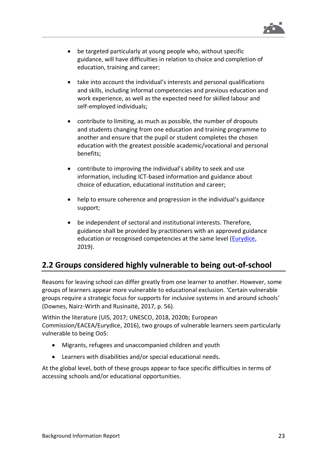

- be targeted particularly at young people who, without specific guidance, will have difficulties in relation to choice and completion of education, training and career;
- take into account the individual's interests and personal qualifications and skills, including informal competencies and previous education and work experience, as well as the expected need for skilled labour and self-employed individuals;
- contribute to limiting, as much as possible, the number of dropouts and students changing from one education and training programme to another and ensure that the pupil or student completes the chosen education with the greatest possible academic/vocational and personal benefits;
- contribute to improving the individual's ability to seek and use information, including ICT-based information and guidance about choice of education, educational institution and career;
- help to ensure coherence and progression in the individual's guidance support;
- be independent of sectoral and institutional interests. Therefore, guidance shall be provided by practitioners with an approved guidance education or recognised competencies at the same level [\(Eurydice,](https://eacea.ec.europa.eu/national-policies/eurydice/denmark/educational-support-and-guidance_en) 2019).

# <span id="page-22-0"></span>**2.2 Groups considered highly vulnerable to being out-of-school**

Reasons for leaving school can differ greatly from one learner to another. However, some groups of learners appear more vulnerable to educational exclusion. 'Certain vulnerable groups require a strategic focus for supports for inclusive systems in and around schools' (Downes, Nairz-Wirth and Rusinaitė, 2017, p. 56).

Within the literature (UIS, 2017; UNESCO, 2018, 2020b; European Commission/EACEA/Eurydice, 2016), two groups of vulnerable learners seem particularly vulnerable to being OoS:

- Migrants, refugees and unaccompanied children and youth
- Learners with disabilities and/or special educational needs.

At the global level, both of these groups appear to face specific difficulties in terms of accessing schools and/or educational opportunities.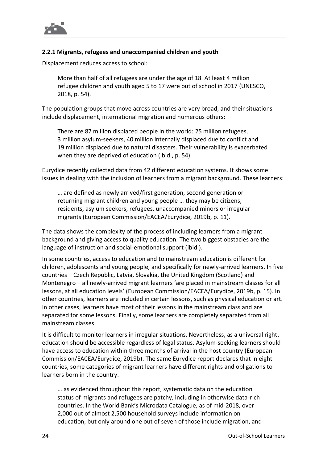

### <span id="page-23-0"></span>**2.2.1 Migrants, refugees and unaccompanied children and youth**

Displacement reduces access to school:

More than half of all refugees are under the age of 18. At least 4 million refugee children and youth aged 5 to 17 were out of school in 2017 (UNESCO, 2018, p. 54).

The population groups that move across countries are very broad, and their situations include displacement, international migration and numerous others:

There are 87 million displaced people in the world: 25 million refugees, 3 million asylum-seekers, 40 million internally displaced due to conflict and 19 million displaced due to natural disasters. Their vulnerability is exacerbated when they are deprived of education (ibid., p. 54).

Eurydice recently collected data from 42 different education systems. It shows some issues in dealing with the inclusion of learners from a migrant background. These learners:

… are defined as newly arrived/first generation, second generation or returning migrant children and young people … they may be citizens, residents, asylum seekers, refugees, unaccompanied minors or irregular migrants (European Commission/EACEA/Eurydice, 2019b, p. 11).

The data shows the complexity of the process of including learners from a migrant background and giving access to quality education. The two biggest obstacles are the language of instruction and social-emotional support (ibid.).

In some countries, access to education and to mainstream education is different for children, adolescents and young people, and specifically for newly-arrived learners. In five countries – Czech Republic, Latvia, Slovakia, the United Kingdom (Scotland) and Montenegro – all newly-arrived migrant learners 'are placed in mainstream classes for all lessons, at all education levels' (European Commission/EACEA/Eurydice, 2019b, p. 15). In other countries, learners are included in certain lessons, such as physical education or art. In other cases, learners have most of their lessons in the mainstream class and are separated for some lessons. Finally, some learners are completely separated from all mainstream classes.

It is difficult to monitor learners in irregular situations. Nevertheless, as a universal right, education should be accessible regardless of legal status. Asylum-seeking learners should have access to education within three months of arrival in the host country (European Commission/EACEA/Eurydice, 2019b). The same Eurydice report declares that in eight countries, some categories of migrant learners have different rights and obligations to learners born in the country.

… as evidenced throughout this report, systematic data on the education status of migrants and refugees are patchy, including in otherwise data-rich countries. In the World Bank's Microdata Catalogue, as of mid-2018, over 2,000 out of almost 2,500 household surveys include information on education, but only around one out of seven of those include migration, and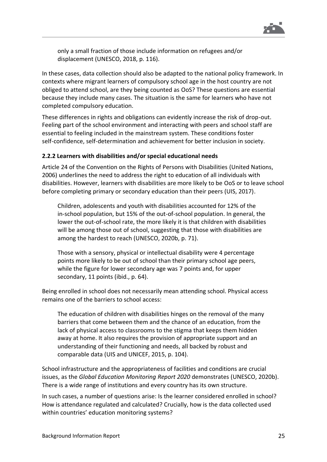

only a small fraction of those include information on refugees and/or displacement (UNESCO, 2018, p. 116).

In these cases, data collection should also be adapted to the national policy framework. In contexts where migrant learners of compulsory school age in the host country are not obliged to attend school, are they being counted as OoS? These questions are essential because they include many cases. The situation is the same for learners who have not completed compulsory education.

These differences in rights and obligations can evidently increase the risk of drop-out. Feeling part of the school environment and interacting with peers and school staff are essential to feeling included in the mainstream system. These conditions foster self-confidence, self-determination and achievement for better inclusion in society.

#### <span id="page-24-0"></span>**2.2.2 Learners with disabilities and/or special educational needs**

Article 24 of the Convention on the Rights of Persons with Disabilities (United Nations, 2006) underlines the need to address the right to education of all individuals with disabilities. However, learners with disabilities are more likely to be OoS or to leave school before completing primary or secondary education than their peers (UIS, 2017).

Children, adolescents and youth with disabilities accounted for 12% of the in-school population, but 15% of the out-of-school population. In general, the lower the out-of-school rate, the more likely it is that children with disabilities will be among those out of school, suggesting that those with disabilities are among the hardest to reach (UNESCO, 2020b, p. 71).

Those with a sensory, physical or intellectual disability were 4 percentage points more likely to be out of school than their primary school age peers, while the figure for lower secondary age was 7 points and, for upper secondary, 11 points (ibid., p. 64).

Being enrolled in school does not necessarily mean attending school. Physical access remains one of the barriers to school access:

The education of children with disabilities hinges on the removal of the many barriers that come between them and the chance of an education, from the lack of physical access to classrooms to the stigma that keeps them hidden away at home. It also requires the provision of appropriate support and an understanding of their functioning and needs, all backed by robust and comparable data (UIS and UNICEF, 2015, p. 104).

School infrastructure and the appropriateness of facilities and conditions are crucial issues, as the *Global Education Monitoring Report 2020* demonstrates (UNESCO, 2020b). There is a wide range of institutions and every country has its own structure.

In such cases, a number of questions arise: Is the learner considered enrolled in school? How is attendance regulated and calculated? Crucially, how is the data collected used within countries' education monitoring systems?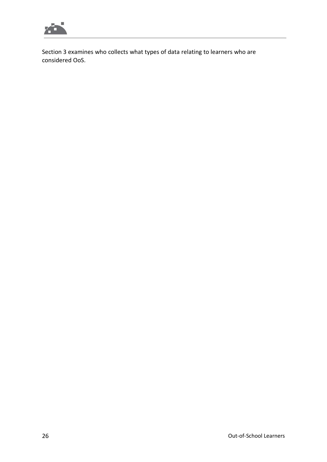

Section 3 examines who collects what types of data relating to learners who are considered OoS.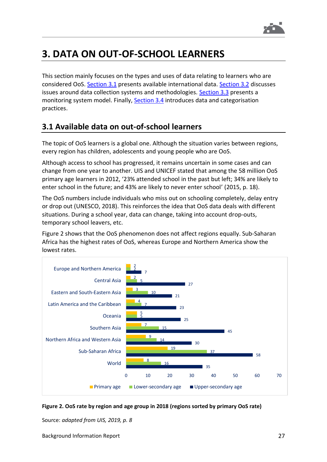

# <span id="page-26-0"></span>**3. DATA ON OUT-OF-SCHOOL LEARNERS**

This section mainly focuses on the types and uses of data relating to learners who are considered OoS. [Section](#page-26-1) 3.1 presents available international data. [Section](#page-27-0) 3.2 discusses issues around data collection systems and methodologies. [Section](#page-31-1) 3.3 presents a monitoring system model. Finally, [Section](#page-34-0) 3.4 introduces data and categorisation practices.

# <span id="page-26-1"></span>**3.1 Available data on out-of-school learners**

The topic of OoS learners is a global one. Although the situation varies between regions, every region has children, adolescents and young people who are OoS.

Although access to school has progressed, it remains uncertain in some cases and can change from one year to another. UIS and UNICEF stated that among the 58 million OoS primary age learners in 2012, '23% attended school in the past but left; 34% are likely to enter school in the future; and 43% are likely to never enter school' (2015, p. 18).

The OoS numbers include individuals who miss out on schooling completely, delay entry or drop out (UNESCO, 2018). This reinforces the idea that OoS data deals with different situations. During a school year, data can change, taking into account drop-outs, temporary school leavers, etc.

Figure 2 shows that the OoS phenomenon does not affect regions equally. Sub-Saharan Africa has the highest rates of OoS, whereas Europe and Northern America show the lowest rates.



<span id="page-26-2"></span>

Source: *adapted from UIS, 2019, p. 8*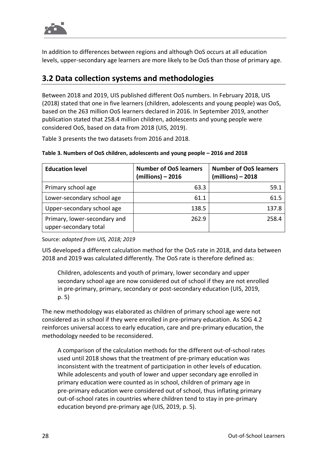

In addition to differences between regions and although OoS occurs at all education levels, upper-secondary age learners are more likely to be OoS than those of primary age.

### <span id="page-27-0"></span>**3.2 Data collection systems and methodologies**

Between 2018 and 2019, UIS published different OoS numbers. In February 2018, UIS (2018) stated that one in five learners (children, adolescents and young people) was OoS, based on the 263 million OoS learners declared in 2016. In September 2019, another publication stated that 258.4 million children, adolescents and young people were considered OoS, based on data from 2018 (UIS, 2019).

Table 3 presents the two datasets from 2016 and 2018.

| <b>Education level</b>                                | <b>Number of OoS learners</b><br>$(millions) - 2016$ | <b>Number of OoS learners</b><br>(millions) - 2018 |
|-------------------------------------------------------|------------------------------------------------------|----------------------------------------------------|
| Primary school age                                    | 63.3                                                 | 59.1                                               |
| Lower-secondary school age                            | 61.1                                                 | 61.5                                               |
| Upper-secondary school age                            | 138.5                                                | 137.8                                              |
| Primary, lower-secondary and<br>upper-secondary total | 262.9                                                | 258.4                                              |

#### <span id="page-27-1"></span>**Table 3. Numbers of OoS children, adolescents and young people – 2016 and 2018**

Source: *adapted from UIS, 2018; 2019*

UIS developed a different calculation method for the OoS rate in 2018, and data between 2018 and 2019 was calculated differently. The OoS rate is therefore defined as:

Children, adolescents and youth of primary, lower secondary and upper secondary school age are now considered out of school if they are not enrolled in pre-primary, primary, secondary or post-secondary education (UIS, 2019, p. 5)

The new methodology was elaborated as children of primary school age were not considered as in school if they were enrolled in pre-primary education. As SDG 4.2 reinforces universal access to early education, care and pre-primary education, the methodology needed to be reconsidered.

A comparison of the calculation methods for the different out-of-school rates used until 2018 shows that the treatment of pre-primary education was inconsistent with the treatment of participation in other levels of education. While adolescents and youth of lower and upper secondary age enrolled in primary education were counted as in school, children of primary age in pre-primary education were considered out of school, thus inflating primary out-of-school rates in countries where children tend to stay in pre-primary education beyond pre-primary age (UIS, 2019, p. 5).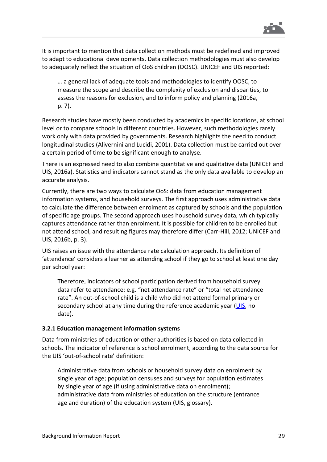

It is important to mention that data collection methods must be redefined and improved to adapt to educational developments. Data collection methodologies must also develop to adequately reflect the situation of OoS children (OOSC). UNICEF and UIS reported:

… a general lack of adequate tools and methodologies to identify OOSC, to measure the scope and describe the complexity of exclusion and disparities, to assess the reasons for exclusion, and to inform policy and planning (2016a, p. 7).

Research studies have mostly been conducted by academics in specific locations, at school level or to compare schools in different countries. However, such methodologies rarely work only with data provided by governments. Research highlights the need to conduct longitudinal studies (Alivernini and Lucidi, 2001). Data collection must be carried out over a certain period of time to be significant enough to analyse.

There is an expressed need to also combine quantitative and qualitative data (UNICEF and UIS, 2016a). Statistics and indicators cannot stand as the only data available to develop an accurate analysis.

Currently, there are two ways to calculate OoS: data from education management information systems, and household surveys. The first approach uses administrative data to calculate the difference between enrolment as captured by schools and the population of specific age groups. The second approach uses household survey data, which typically captures attendance rather than enrolment. It is possible for children to be enrolled but not attend school, and resulting figures may therefore differ (Carr-Hill, 2012; UNICEF and UIS, 2016b, p. 3).

UIS raises an issue with the attendance rate calculation approach. Its definition of 'attendance' considers a learner as attending school if they go to school at least one day per school year:

Therefore, indicators of school participation derived from household survey data refer to attendance: e.g. "net attendance rate" or "total net attendance rate". An out-of-school child is a child who did not attend formal primary or secondary school at any time during the reference academic year [\(UIS,](http://uis.unesco.org/en/glossary) no date).

#### <span id="page-28-0"></span>**3.2.1 Education management information systems**

Data from ministries of education or other authorities is based on data collected in schools. The indicator of reference is school enrolment, according to the data source for the UIS 'out-of-school rate' definition:

Administrative data from schools or household survey data on enrolment by single year of age; population censuses and surveys for population estimates by single year of age (if using administrative data on enrolment); administrative data from ministries of education on the structure (entrance age and duration) of the education system (UIS, glossary).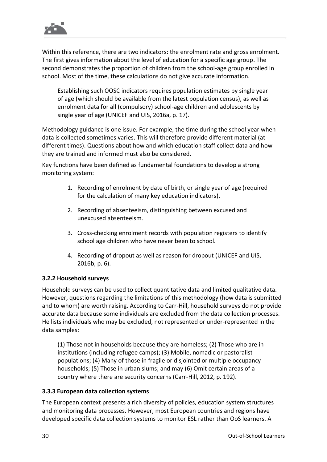

Within this reference, there are two indicators: the enrolment rate and gross enrolment. The first gives information about the level of education for a specific age group. The second demonstrates the proportion of children from the school-age group enrolled in school. Most of the time, these calculations do not give accurate information.

Establishing such OOSC indicators requires population estimates by single year of age (which should be available from the latest population census), as well as enrolment data for all (compulsory) school-age children and adolescents by single year of age (UNICEF and UIS, 2016a, p. 17).

Methodology guidance is one issue. For example, the time during the school year when data is collected sometimes varies. This will therefore provide different material (at different times). Questions about how and which education staff collect data and how they are trained and informed must also be considered.

Key functions have been defined as fundamental foundations to develop a strong monitoring system:

- 1. Recording of enrolment by date of birth, or single year of age (required for the calculation of many key education indicators).
- 2. Recording of absenteeism, distinguishing between excused and unexcused absenteeism.
- 3. Cross-checking enrolment records with population registers to identify school age children who have never been to school.
- 4. Recording of dropout as well as reason for dropout (UNICEF and UIS, 2016b, p. 6).

### <span id="page-29-0"></span>**3.2.2 Household surveys**

Household surveys can be used to collect quantitative data and limited qualitative data. However, questions regarding the limitations of this methodology (how data is submitted and to whom) are worth raising. According to Carr-Hill, household surveys do not provide accurate data because some individuals are excluded from the data collection processes. He lists individuals who may be excluded, not represented or under-represented in the data samples:

(1) Those not in households because they are homeless; (2) Those who are in institutions (including refugee camps); (3) Mobile, nomadic or pastoralist populations; (4) Many of those in fragile or disjointed or multiple occupancy households; (5) Those in urban slums; and may (6) Omit certain areas of a country where there are security concerns (Carr-Hill, 2012, p. 192).

### <span id="page-29-1"></span>**3.3.3 European data collection systems**

The European context presents a rich diversity of policies, education system structures and monitoring data processes. However, most European countries and regions have developed specific data collection systems to monitor ESL rather than OoS learners. A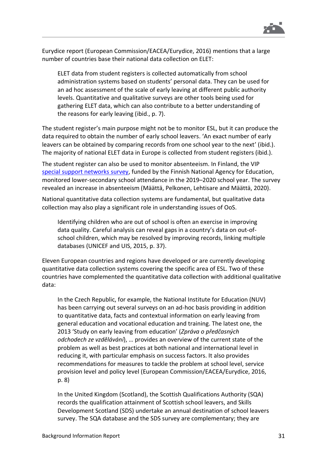

Eurydice report (European Commission/EACEA/Eurydice, 2016) mentions that a large number of countries base their national data collection on ELET:

ELET data from student registers is collected automatically from school administration systems based on students' personal data. They can be used for an ad hoc assessment of the scale of early leaving at different public authority levels. Quantitative and qualitative surveys are other tools being used for gathering ELET data, which can also contribute to a better understanding of the reasons for early leaving (ibid., p. 7).

The student register's main purpose might not be to monitor ESL, but it can produce the data required to obtain the number of early school leavers. 'An exact number of early leavers can be obtained by comparing records from one school year to the next' (ibid.). The majority of national ELET data in Europe is collected from student registers (ibid.).

The student register can also be used to monitor absenteeism. In Finland, the VIP special [support networks survey,](https://www.european-agency.org/news/finnish-survey-reveals-increase-school-absenteeism) funded by the Finnish National Agency for Education, monitored lower-secondary school attendance in the 2019–2020 school year. The survey revealed an increase in absenteeism (Määttä, Pelkonen, Lehtisare and Määttä, 2020).

National quantitative data collection systems are fundamental, but qualitative data collection may also play a significant role in understanding issues of OoS.

Identifying children who are out of school is often an exercise in improving data quality. Careful analysis can reveal gaps in a country's data on out-ofschool children, which may be resolved by improving records, linking multiple databases (UNICEF and UIS, 2015, p. 37).

Eleven European countries and regions have developed or are currently developing quantitative data collection systems covering the specific area of ESL. Two of these countries have complemented the quantitative data collection with additional qualitative data:

In the Czech Republic, for example, the National Institute for Education (NUV) has been carrying out several surveys on an ad-hoc basis providing in addition to quantitative data, facts and contextual information on early leaving from general education and vocational education and training. The latest one, the 2013 'Study on early leaving from education' (*Zpráva o předčasných odchodech ze vzdělávání*), … provides an overview of the current state of the problem as well as best practices at both national and international level in reducing it, with particular emphasis on success factors. It also provides recommendations for measures to tackle the problem at school level, service provision level and policy level (European Commission/EACEA/Eurydice, 2016, p. 8)

In the United Kingdom (Scotland), the Scottish Qualifications Authority (SQA) records the qualification attainment of Scottish school leavers, and Skills Development Scotland (SDS) undertake an annual destination of school leavers survey. The SQA database and the SDS survey are complementary; they are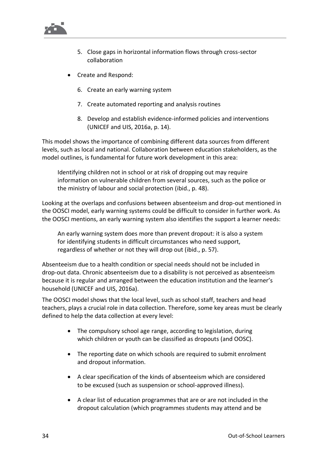

- 5. Close gaps in horizontal information flows through cross-sector collaboration
- Create and Respond:
	- 6. Create an early warning system
	- 7. Create automated reporting and analysis routines
	- 8. Develop and establish evidence-informed policies and interventions (UNICEF and UIS, 2016a, p. 14).

This model shows the importance of combining different data sources from different levels, such as local and national. Collaboration between education stakeholders, as the model outlines, is fundamental for future work development in this area:

Identifying children not in school or at risk of dropping out may require information on vulnerable children from several sources, such as the police or the ministry of labour and social protection (ibid., p. 48).

Looking at the overlaps and confusions between absenteeism and drop-out mentioned in the OOSCI model, early warning systems could be difficult to consider in further work. As the OOSCI mentions, an early warning system also identifies the support a learner needs:

An early warning system does more than prevent dropout: it is also a system for identifying students in difficult circumstances who need support, regardless of whether or not they will drop out (ibid., p. 57).

Absenteeism due to a health condition or special needs should not be included in drop-out data. Chronic absenteeism due to a disability is not perceived as absenteeism because it is regular and arranged between the education institution and the learner's household (UNICEF and UIS, 2016a).

The OOSCI model shows that the local level, such as school staff, teachers and head teachers, plays a crucial role in data collection. Therefore, some key areas must be clearly defined to help the data collection at every level:

- The compulsory school age range, according to legislation, during which children or youth can be classified as dropouts (and OOSC).
- The reporting date on which schools are required to submit enrolment and dropout information.
- A clear specification of the kinds of absenteeism which are considered to be excused (such as suspension or school-approved illness).
- A clear list of education programmes that are or are not included in the dropout calculation (which programmes students may attend and be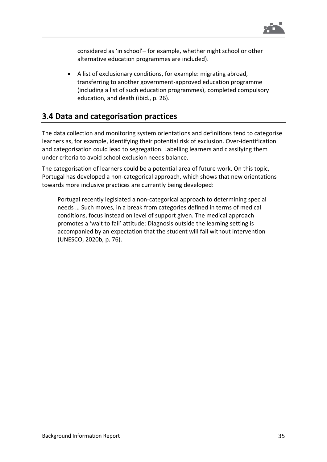

considered as 'in school'– for example, whether night school or other alternative education programmes are included).

• A list of exclusionary conditions, for example: migrating abroad, transferring to another government-approved education programme (including a list of such education programmes), completed compulsory education, and death (ibid., p. 26).

### <span id="page-34-0"></span>**3.4 Data and categorisation practices**

The data collection and monitoring system orientations and definitions tend to categorise learners as, for example, identifying their potential risk of exclusion. Over-identification and categorisation could lead to segregation. Labelling learners and classifying them under criteria to avoid school exclusion needs balance.

The categorisation of learners could be a potential area of future work. On this topic, Portugal has developed a non-categorical approach, which shows that new orientations towards more inclusive practices are currently being developed:

Portugal recently legislated a non-categorical approach to determining special needs … Such moves, in a break from categories defined in terms of medical conditions, focus instead on level of support given. The medical approach promotes a 'wait to fail' attitude: Diagnosis outside the learning setting is accompanied by an expectation that the student will fail without intervention (UNESCO, 2020b, p. 76).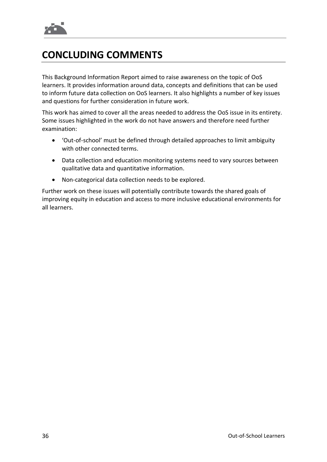

# <span id="page-35-0"></span>**CONCLUDING COMMENTS**

This Background Information Report aimed to raise awareness on the topic of OoS learners. It provides information around data, concepts and definitions that can be used to inform future data collection on OoS learners. It also highlights a number of key issues and questions for further consideration in future work.

This work has aimed to cover all the areas needed to address the OoS issue in its entirety. Some issues highlighted in the work do not have answers and therefore need further examination:

- 'Out-of-school' must be defined through detailed approaches to limit ambiguity with other connected terms.
- Data collection and education monitoring systems need to vary sources between qualitative data and quantitative information.
- Non-categorical data collection needs to be explored.

Further work on these issues will potentially contribute towards the shared goals of improving equity in education and access to more inclusive educational environments for all learners.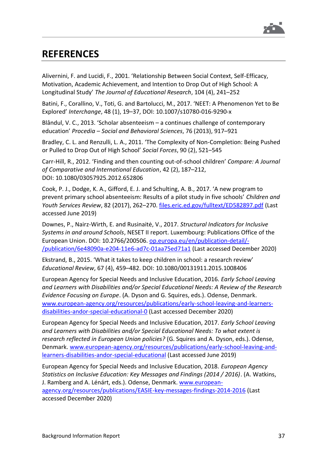

# <span id="page-36-0"></span>**REFERENCES**

Alivernini, F. and Lucidi, F., 2001. 'Relationship Between Social Context, Self-Efficacy, Motivation, Academic Achievement, and Intention to Drop Out of High School: A Longitudinal Study' *The Journal of Educational Research*, 104 (4), 241–252

Batini, F., Corallino, V., Toti, G. and Bartolucci, M., 2017. 'NEET: A Phenomenon Yet to Be Explored' *Interchange*, 48 (1), 19–37, DOI: 10.1007/s10780-016-9290-x

Blândul, V. C., 2013. 'Scholar absenteeism – a continues challenge of contemporary education' *Procedia – Social and Behavioral Sciences*, 76 (2013), 917–921

Bradley, C. L. and Renzulli, L. A., 2011. 'The Complexity of Non-Completion: Being Pushed or Pulled to Drop Out of High School' *Social Forces*, 90 (2), 521–545

Carr-Hill, R., 2012. 'Finding and then counting out-of-school children' *Compare: A Journal of Comparative and International Education*, 42 (2), 187–212, DOI: 10.1080/03057925.2012.652806

Cook, P. J., Dodge, K. A., Gifford, E. J. and Schulting, A. B., 2017. 'A new program to prevent primary school absenteeism: Results of a pilot study in five schools' *Children and Youth Services Review*, 82 (2017), 262–270. [files.eric.ed.gov/fulltext/ED582897.pdf](https://files.eric.ed.gov/fulltext/ED582897.pdf) (Last accessed June 2019)

Downes, P., Nairz-Wirth, E. and Rusinaitė, V., 2017. *Structural Indicators for Inclusive Systems in and around Schools*, NESET II report. Luxembourg: Publications Office of the European Union. DOI: 10.2766/200506. [op.europa.eu/en/publication-detail/-](https://op.europa.eu/en/publication-detail/-/publication/6e48090a-e204-11e6-ad7c-01aa75ed71a1) [/publication/6e48090a-e204-11e6-ad7c-01aa75ed71a1](https://op.europa.eu/en/publication-detail/-/publication/6e48090a-e204-11e6-ad7c-01aa75ed71a1) (Last accessed December 2020)

Ekstrand, B., 2015. 'What it takes to keep children in school: a research review' *Educational Review*, 67 (4), 459–482. DOI: 10.1080/00131911.2015.1008406

European Agency for Special Needs and Inclusive Education, 2016. *Early School Leaving and Learners with Disabilities and/or Special Educational Needs: A Review of the Research Evidence Focusing on Europe*. (A. Dyson and G. Squires, eds.). Odense, Denmark. [www.european-agency.org/resources/publications/early-school-leaving-and-learners](https://www.european-agency.org/resources/publications/early-school-leaving-and-learners-disabilities-andor-special-educational-0)[disabilities-andor-special-educational-0](https://www.european-agency.org/resources/publications/early-school-leaving-and-learners-disabilities-andor-special-educational-0) (Last accessed December 2020)

European Agency for Special Needs and Inclusive Education, 2017. *Early School Leaving and Learners with Disabilities and/or Special Educational Needs: To what extent is research reflected in European Union policies?* (G. Squires and A. Dyson, eds.). Odense, Denmark. [www.european-agency.org/resources/publications/early-school-leaving-and](https://www.european-agency.org/resources/publications/early-school-leaving-and-learners-disabilities-andor-special-educational)[learners-disabilities-andor-special-educational](https://www.european-agency.org/resources/publications/early-school-leaving-and-learners-disabilities-andor-special-educational) (Last accessed June 2019)

European Agency for Special Needs and Inclusive Education, 2018. *European Agency Statistics on Inclusive Education: Key Messages and Findings (2014 / 2016)*. (A. Watkins, J. Ramberg and A. Lénárt, eds.). Odense, Denmark. [www.european](http://www.european-agency.org/resources/publications/EASIE-key-messages-findings-2014-2016)[agency.org/resources/publications/EASIE-key-messages-findings-2014-2016](http://www.european-agency.org/resources/publications/EASIE-key-messages-findings-2014-2016) (Last accessed December 2020)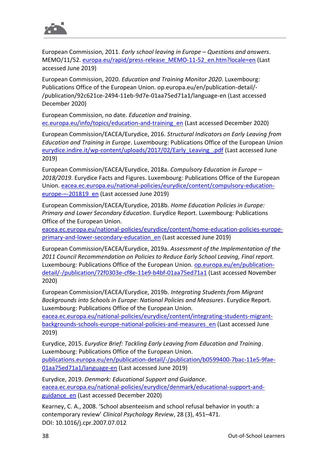

European Commission, 2011. *Early school leaving in Europe – Questions and answers*. MEMO/11/52. [europa.eu/rapid/press-release\\_MEMO-11-52\\_en.htm?locale=en](http://europa.eu/rapid/press-release_MEMO-11-52_en.htm?locale=en) (Last accessed June 2019)

European Commission, 2020. *Education and Training Monitor 2020*. Luxembourg: Publications Office of the European Union. op.europa.eu/en/publication-detail/- /publication/92c621ce-2494-11eb-9d7e-01aa75ed71a1/language-en (Last accessed December 2020)

European Commission, no date. *Education and training*. [ec.europa.eu/info/topics/education-and-training\\_en](https://ec.europa.eu/info/topics/education-and-training_en) (Last accessed December 2020)

European Commission/EACEA/Eurydice, 2016. *Structural Indicators on Early Leaving from Education and Training in Europe*. Luxembourg: Publications Office of the European Union [eurydice.indire.it/wp-content/uploads/2017/02/Early\\_Leaving\\_.pdf](https://eurydice.indire.it/wp-content/uploads/2017/02/Early_Leaving_.pdf) (Last accessed June 2019)

European Commission/EACEA/Eurydice, 2018a. *Compulsory Education in Europe – 2018/2019*. Eurydice Facts and Figures. Luxembourg: Publications Office of the European Union. [eacea.ec.europa.eu/national-policies/eurydice/content/compulsory-education](https://eacea.ec.europa.eu/national-policies/eurydice/content/compulsory-education-europe-%E2%80%93-201819_en)europe---201819 en (Last accessed June 2019)

European Commission/EACEA/Eurydice, 2018b. *Home Education Policies in Europe: Primary and Lower Secondary Education*. Eurydice Report. Luxembourg: Publications Office of the European Union.

[eacea.ec.europa.eu/national-policies/eurydice/content/home-education-policies-europe](https://eacea.ec.europa.eu/national-policies/eurydice/content/home-education-policies-europe-primary-and-lower-secondary-education_en)[primary-and-lower-secondary-education\\_en](https://eacea.ec.europa.eu/national-policies/eurydice/content/home-education-policies-europe-primary-and-lower-secondary-education_en) (Last accessed June 2019)

European Commission/EACEA/Eurydice, 2019a. *Assessment of the Implementation of the 2011 Council Recommendation on Policies to Reduce Early School Leaving, Final report.* Luxembourg: Publications Office of the European Union. [op.europa.eu/en/publication](https://op.europa.eu/en/publication-detail/-/publication/72f0303e-cf8e-11e9-b4bf-01aa75ed71a1)[detail/-/publication/72f0303e-cf8e-11e9-b4bf-01aa75ed71a1](https://op.europa.eu/en/publication-detail/-/publication/72f0303e-cf8e-11e9-b4bf-01aa75ed71a1) (Last accessed November 2020)

European Commission/EACEA/Eurydice, 2019b. *Integrating Students from Migrant Backgrounds into Schools in Europe: National Policies and Measures*. Eurydice Report. Luxembourg: Publications Office of the European Union.

[eacea.ec.europa.eu/national-policies/eurydice/content/integrating-students-migrant](https://eacea.ec.europa.eu/national-policies/eurydice/content/integrating-students-migrant-backgrounds-schools-europe-national-policies-and-measures_en)[backgrounds-schools-europe-national-policies-and-measures\\_en](https://eacea.ec.europa.eu/national-policies/eurydice/content/integrating-students-migrant-backgrounds-schools-europe-national-policies-and-measures_en) (Last accessed June 2019)

Eurydice, 2015. *Eurydice Brief: Tackling Early Leaving from Education and Training*. Luxembourg: Publications Office of the European Union.

[publications.europa.eu/en/publication-detail/-/publication/b0599400-7bac-11e5-9fae-](https://publications.europa.eu/en/publication-detail/-/publication/b0599400-7bac-11e5-9fae-01aa75ed71a1/language-en)[01aa75ed71a1/language-en](https://publications.europa.eu/en/publication-detail/-/publication/b0599400-7bac-11e5-9fae-01aa75ed71a1/language-en) (Last accessed June 2019)

Eurydice, 2019. *Denmark: Educational Support and Guidance*. [eacea.ec.europa.eu/national-policies/eurydice/denmark/educational-support-and](https://eacea.ec.europa.eu/national-policies/eurydice/denmark/educational-support-and-guidance_en)[guidance\\_en](https://eacea.ec.europa.eu/national-policies/eurydice/denmark/educational-support-and-guidance_en) (Last accessed December 2020)

Kearney, C. A., 2008. 'School absenteeism and school refusal behavior in youth: a contemporary review' *Clinical Psychology Review*, 28 (3), 451–471. DOI: 10.1016/j.cpr.2007.07.012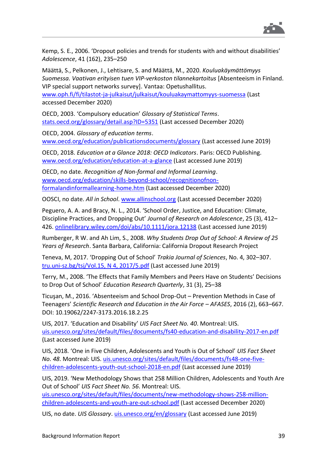

Kemp, S. E., 2006. 'Dropout policies and trends for students with and without disabilities' *Adolescence*, 41 (162), 235–250

Määttä, S., Pelkonen, J., Lehtisare, S. and Määttä, M., 2020. *Kouluakäymättömyys Suomessa. Vaativan erityisen tuen VIP-verkoston tilannekartoitus* [Absenteeism in Finland. VIP special support networks survey]. Vantaa: Opetushallitus.

[www.oph.fi/fi/tilastot-ja-julkaisut/julkaisut/kouluakaymattomyys-suomessa](http://www.oph.fi/fi/tilastot-ja-julkaisut/julkaisut/kouluakaymattomyys-suomessa) (Last accessed December 2020)

OECD, 2003. 'Compulsory education' *Glossary of Statistical Terms*. [stats.oecd.org/glossary/detail.asp?ID=5351](https://stats.oecd.org/glossary/detail.asp?ID=5351) (Last accessed December 2020)

OECD, 2004. *Glossary of education terms*. [www.oecd.org/education/publicationsdocuments/glossary](http://www.oecd.org/education/publicationsdocuments/glossary) (Last accessed June 2019)

OECD, 2018. *Education at a Glance 2018: OECD Indicators*. Paris: OECD Publishing. [www.oecd.org/education/education-at-a-glance](http://www.oecd.org/education/education-at-a-glance/) (Last accessed June 2019)

OECD, no date. *Recognition of Non-formal and Informal Learning*. [www.oecd.org/education/skills-beyond-school/recognitionofnon](http://www.oecd.org/education/skills-beyond-school/recognitionofnon-formalandinformallearning-home.htm)[formalandinformallearning-home.htm](http://www.oecd.org/education/skills-beyond-school/recognitionofnon-formalandinformallearning-home.htm) (Last accessed December 2020)

OOSCI, no date. *All in School*. [www.allinschool.org](http://www.allinschool.org/) (Last accessed December 2020)

Peguero, A. A. and Bracy, N. L., 2014. 'School Order, Justice, and Education: Climate, Discipline Practices, and Dropping Out' *Journal of Research on Adolescence*, 25 (3), 412– 426. [onlinelibrary.wiley.com/doi/abs/10.1111/jora.12138](https://onlinelibrary.wiley.com/doi/abs/10.1111/jora.12138) (Last accessed June 2019)

Rumberger, R W. and Ah Lim, S., 2008. *Why Students Drop Out of School: A Review of 25 Years of Research*. Santa Barbara, California: California Dropout Research Project

Teneva, M, 2017. 'Dropping Out of School' *Trakia Journal of Sciences*, No. 4, 302–307. [tru.uni-sz.bg/tsj/Vol.15, N 4, 2017/5.pdf](http://tru.uni-sz.bg/tsj/Vol.15,%20N%204,%202017/5.pdf) (Last accessed June 2019)

Terry, M., 2008. 'The Effects that Family Members and Peers Have on Students' Decisions to Drop Out of School' *Education Research Quarterly*, 31 (3), 25–38

Ticuşan, M., 2016. 'Absenteeism and School Drop-Out – Prevention Methods in Case of Teenagers' *Scientific Research and Education in the Air Force – AFASES*, 2016 (2), 663–667. DOI: 10.19062/2247-3173.2016.18.2.25

UIS, 2017. 'Education and Disability' *UIS Fact Sheet No. 40*. Montreal: UIS. [uis.unesco.org/sites/default/files/documents/fs40-education-and-disability-2017-en.pdf](http://uis.unesco.org/sites/default/files/documents/fs40-education-and-disability-2017-en.pdf) (Last accessed June 2019)

UIS, 2018. 'One in Five Children, Adolescents and Youth is Out of School' *UIS Fact Sheet No. 48*. Montreal: UIS. [uis.unesco.org/sites/default/files/documents/fs48-one-five](http://uis.unesco.org/sites/default/files/documents/fs48-one-five-children-adolescents-youth-out-school-2018-en.pdf)[children-adolescents-youth-out-school-2018-en.pdf](http://uis.unesco.org/sites/default/files/documents/fs48-one-five-children-adolescents-youth-out-school-2018-en.pdf) (Last accessed June 2019)

UIS, 2019. 'New Methodology Shows that 258 Million Children, Adolescents and Youth Are Out of School' *UIS Fact Sheet No. 56*. Montreal: UIS.

[uis.unesco.org/sites/default/files/documents/new-methodology-shows-258-million](http://uis.unesco.org/sites/default/files/documents/new-methodology-shows-258-million-children-adolescents-and-youth-are-out-school.pdf)[children-adolescents-and-youth-are-out-school.pdf](http://uis.unesco.org/sites/default/files/documents/new-methodology-shows-258-million-children-adolescents-and-youth-are-out-school.pdf) (Last accessed December 2020)

UIS, no date. *UIS Glossary*[. uis.unesco.org/en/glossary](http://uis.unesco.org/en/glossary) (Last accessed June 2019)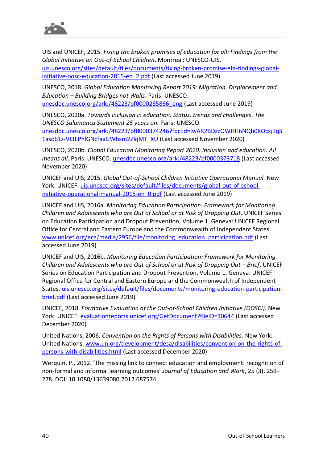

UIS and UNICEF, 2015. *Fixing the broken promises of education for all: Findings from the Global Initiative on Out-of-School Children*. Montreal: UNESCO-UIS. [uis.unesco.org/sites/default/files/documents/fixing-broken-promise-efa-findings-global](http://uis.unesco.org/sites/default/files/documents/fixing-broken-promise-efa-findings-global-initiative-oosc-education-2015-en_2.pdf)[initiative-oosc-education-2015-en\\_2.pdf](http://uis.unesco.org/sites/default/files/documents/fixing-broken-promise-efa-findings-global-initiative-oosc-education-2015-en_2.pdf) (Last accessed June 2019)

UNESCO, 2018. *Global Education Monitoring Report 2019: Migration, Displacement and Education – Building Bridges not Walls*. Paris: UNESCO. [unesdoc.unesco.org/ark:/48223/pf0000265866\\_eng](https://unesdoc.unesco.org/ark:/48223/pf0000265866_eng) (Last accessed June 2019)

UNESCO, 2020a. *Towards inclusion in education: Status, trends and challenges. The UNESCO Salamanca Statement 25 years on.* Paris: UNESCO. [unesdoc.unesco.org/ark:/48223/pf0000374246?fbclid=IwAR2BDzzOWHH6NQb0KOcxjTqS](https://unesdoc.unesco.org/ark:/48223/pf0000374246?fbclid=IwAR2BDzzOWHH6NQb0KOcxjTqS1aso61z-VI3EPhlGNcfaaGWhsm2ZlqMT_XU) [1aso61z-VI3EPhlGNcfaaGWhsm2ZlqMT\\_XU](https://unesdoc.unesco.org/ark:/48223/pf0000374246?fbclid=IwAR2BDzzOWHH6NQb0KOcxjTqS1aso61z-VI3EPhlGNcfaaGWhsm2ZlqMT_XU) (Last accessed November 2020)

UNESCO, 2020b. *Global Education Monitoring Report 2020: Inclusion and education: All means all*. Paris: UNESCO. [unesdoc.unesco.org/ark:/48223/pf0000373718](https://unesdoc.unesco.org/ark:/48223/pf0000373718) (Last accessed November 2020)

UNICEF and UIS, 2015. *Global Out-of-School Children Initiative Operational Manual.* New York: UNICEF. [uis.unesco.org/sites/default/files/documents/global-out-of-school](http://uis.unesco.org/sites/default/files/documents/global-out-of-school-initiative-operational-manual-2015-en_0.pdf)initiative-operational-manual-2015-en 0.pdf (Last accessed June 2019)

UNICEF and UIS, 2016a. *Monitoring Education Participation: Framework for Monitoring Children and Adolescents who are Out of School or at Risk of Dropping Out*. UNICEF Series on Education Participation and Dropout Prevention, Volume 1. Geneva: UNICEF Regional Office for Central and Eastern Europe and the Commonwealth of Independent States. [www.unicef.org/eca/media/2956/file/monitoring\\_education\\_participation.pdf](https://www.unicef.org/eca/media/2956/file/monitoring_education_participation.pdf) (Last accessed June 2019)

UNICEF and UIS, 2016b. *Monitoring Education Participation: Framework for Monitoring Children and Adolescents who are Out of School or at Risk of Dropping Out – Brief.* UNICEF Series on Education Participation and Dropout Prevention, Volume 1. Geneva: UNICEF Regional Office for Central and Eastern Europe and the Commonwealth of Independent States. [uis.unesco.org/sites/default/files/documents/monitoring-education-participation](http://uis.unesco.org/sites/default/files/documents/monitoring-education-participation-brief.pdf)[brief.pdf](http://uis.unesco.org/sites/default/files/documents/monitoring-education-participation-brief.pdf) (Last accessed June 2019)

UNICEF, 2018. *Formative Evaluation of the Out-of-School Children Initiative (OOSCI)*. New York: UNICEF. [evaluationreports.unicef.org/GetDocument?fileID=10644](https://evaluationreports.unicef.org/GetDocument?fileID=10644) (Last accessed December 2020)

United Nations, 2006. *Convention on the Rights of Persons with Disabilities*. New York: United Nations. [www.un.org/development/desa/disabilities/convention-on-the-rights-of](https://www.un.org/development/desa/disabilities/convention-on-the-rights-of-persons-with-disabilities.html)[persons-with-disabilities.html](https://www.un.org/development/desa/disabilities/convention-on-the-rights-of-persons-with-disabilities.html) (Last accessed December 2020)

Werquin, P., 2012. 'The missing link to connect education and employment: recognition of non-formal and informal learning outcomes' *Journal of Education and Work*, 25 (3), 259– 278. DOI: 10.1080/13639080.2012.687574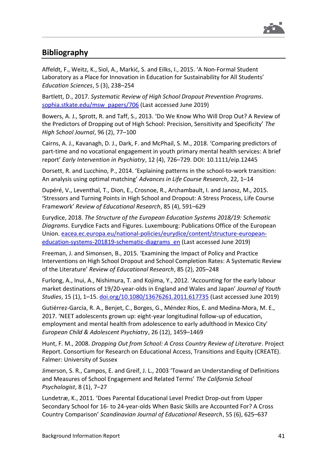

### <span id="page-40-1"></span><span id="page-40-0"></span>**Bibliography**

Affeldt, F., Weitz, K., Siol, A., Markić, S. and Eilks, I., 2015. 'A Non-Formal Student Laboratory as a Place for Innovation in Education for Sustainability for All Students' *Education Sciences*, 5 (3), 238–254

Bartlett, D., 2017. *Systematic Review of High School Dropout Prevention Programs*. [sophia.stkate.edu/msw\\_papers/706](https://sophia.stkate.edu/msw_papers/706) (Last accessed June 2019)

Bowers, A. J., Sprott, R. and Taff, S., 2013. 'Do We Know Who Will Drop Out? A Review of the Predictors of Dropping out of High School: Precision, Sensitivity and Specificity' *The High School Journal*, 96 (2), 77–100

Cairns, A. J., Kavanagh, D. J., Dark, F. and McPhail, S. M., 2018. 'Comparing predictors of part-time and no vocational engagement in youth primary mental health services: A brief report' *Early Intervention in Psychiatry*, 12 (4), 726–729. DOI: 10.1111/eip.12445

Dorsett, R. and Lucchino, P., 2014. 'Explaining patterns in the school-to-work transition: An analysis using optimal matching' *Advances in Life Course Research*, 22, 1–14

Dupéré, V., Leventhal, T., Dion, E., Crosnoe, R., Archambault, I. and Janosz, M., 2015. 'Stressors and Turning Points in High School and Dropout: A Stress Process, Life Course Framework' *Review of Educational Research*, 85 (4), 591–629

Eurydice, 2018. *The Structure of the European Education Systems 2018/19: Schematic Diagrams*. Eurydice Facts and Figures. Luxembourg: Publications Office of the European Union. [eacea.ec.europa.eu/national-policies/eurydice/content/structure-european](https://eacea.ec.europa.eu/national-policies/eurydice/content/structure-european-education-systems-201819-schematic-diagrams_en)[education-systems-201819-schematic-diagrams\\_en](https://eacea.ec.europa.eu/national-policies/eurydice/content/structure-european-education-systems-201819-schematic-diagrams_en) (Last accessed June 2019)

Freeman, J. and Simonsen, B., 2015. 'Examining the Impact of Policy and Practice Interventions on High School Dropout and School Completion Rates: A Systematic Review of the Literature' *Review of Educational Research*, 85 (2), 205–248

Furlong, A., Inui, A., Nishimura, T. and Kojima, Y., 2012. 'Accounting for the early labour market destinations of 19/20-year-olds in England and Wales and Japan' *Journal of Youth Studies*, 15 (1), 1–15. [doi.org/10.1080/13676261.2011.617735](http://doi.org/10.1080/13676261.2011.617735) (Last accessed June 2019)

Gutiérrez-García, R. A., Benjet, C., Borges, G., Méndez Ríos, E. and Medina-Mora, M. E., 2017. 'NEET adolescents grown up: eight-year longitudinal follow-up of education, employment and mental health from adolescence to early adulthood in Mexico City' *European Child & Adolescent Psychiatry*, 26 (12), 1459–1469

Hunt, F. M., 2008. *Dropping Out from School: A Cross Country Review of Literature*. Project Report. Consortium for Research on Educational Access, Transitions and Equity (CREATE). Falmer: University of Sussex

Jimerson, S. R., Campos, E. and Greif, J. L., 2003 'Toward an Understanding of Definitions and Measures of School Engagement and Related Terms' *The California School Psychologist*, 8 (1), 7–27

Lundetræ, K., 2011. 'Does Parental Educational Level Predict Drop-out from Upper Secondary School for 16- to 24-year-olds When Basic Skills are Accounted For? A Cross Country Comparison' *Scandinavian Journal of Educational Research*, 55 (6), 625–637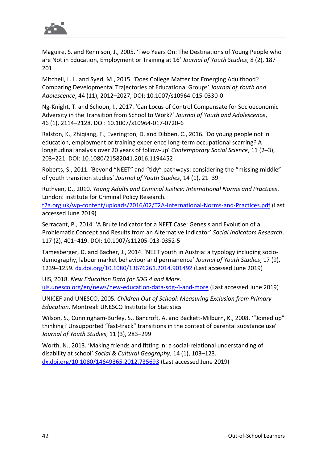

Maguire, S. and Rennison, J., 2005. 'Two Years On: The Destinations of Young People who are Not in Education, Employment or Training at 16' *Journal of Youth Studies*, 8 (2), 187– 201

Mitchell, L. L. and Syed, M., 2015. 'Does College Matter for Emerging Adulthood? Comparing Developmental Trajectories of Educational Groups' *Journal of Youth and Adolescence*, 44 (11), 2012–2027, DOI: 10.1007/s10964-015-0330-0

Ng-Knight, T. and Schoon, I., 2017. 'Can Locus of Control Compensate for Socioeconomic Adversity in the Transition from School to Work?' *Journal of Youth and Adolescence*, 46 (1), 2114–2128. DOI: 10.1007/s10964-017-0720-6

Ralston, K., Zhiqiang, F., Everington, D. and Dibben, C., 2016. 'Do young people not in education, employment or training experience long-term occupational scarring? A longitudinal analysis over 20 years of follow-up' *Contemporary Social Science*, 11 (2–3), 203–221. DOI: 10.1080/21582041.2016.1194452

Roberts, S., 2011. 'Beyond "NEET" and "tidy" pathways: considering the "missing middle" of youth transition studies' *Journal of Youth Studies*, 14 (1), 21–39

Ruthven, D., 2010. *Young Adults and Criminal Justice: International Norms and Practices*. London: Institute for Criminal Policy Research.

[t2a.org.uk/wp-content/uploads/2016/02/T2A-International-Norms-and-Practices.pdf](https://www.t2a.org.uk/wp-content/uploads/2016/02/T2A-International-Norms-and-Practices.pdf) (Last accessed June 2019)

Serracant, P., 2014. 'A Brute Indicator for a NEET Case: Genesis and Evolution of a Problematic Concept and Results from an Alternative Indicator' *Social Indicators Research*, 117 (2), 401–419. DOI: 10.1007/s11205-013-0352-5

Tamesberger, D. and Bacher, J., 2014. 'NEET youth in Austria: a typology including sociodemography, labour market behaviour and permanence' *Journal of Youth Studies*, 17 (9), 1239–1259. [dx.doi.org/10.1080/13676261.2014.901492](http://dx.doi.org/10.1080/13676261.2014.901492) (Last accessed June 2019)

UIS, 2018. *New Education Data for SDG 4 and More*. [uis.unesco.org/en/news/new-education-data-sdg-4-and-more](http://uis.unesco.org/en/news/new-education-data-sdg-4-and-more) (Last accessed June 2019)

UNICEF and UNESCO, 2005. *Children Out of School: Measuring Exclusion from Primary Education*. Montreal: UNESCO Institute for Statistics

Wilson, S., Cunningham-Burley, S., Bancroft, A. and Backett-Milburn, K., 2008. '"Joined up" thinking? Unsupported "fast-track" transitions in the context of parental substance use' *Journal of Youth Studies*, 11 (3), 283–299

Worth, N., 2013. 'Making friends and fitting in: a social-relational understanding of disability at school' *Social & Cultural Geography*, 14 (1), 103–123. [dx.doi.org/10.1080/14649365.2012.735693](http://dx.doi.org/10.1080/14649365.2012.735693) (Last accessed June 2019)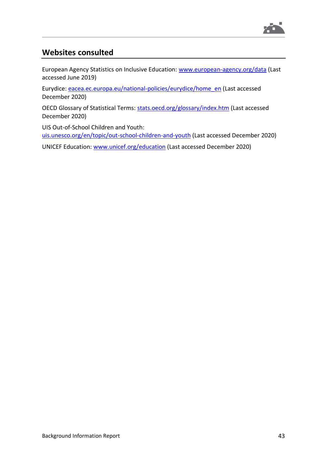

### <span id="page-42-0"></span>**Websites consulted**

European Agency Statistics on Inclusive Education: [www.european-agency.org/data](http://www.european-agency.org/data) (Last accessed June 2019)

Eurydice: [eacea.ec.europa.eu/national-policies/eurydice/home\\_en](https://eacea.ec.europa.eu/national-policies/eurydice/home_en) (Last accessed December 2020)

OECD Glossary of Statistical Terms: stats.oecd.org/glossary/index.htm (Last accessed December 2020)

UIS Out-of-School Children and Youth: [uis.unesco.org/en/topic/out-school-children-and-youth](http://uis.unesco.org/en/topic/out-school-children-and-youth) (Last accessed December 2020)

UNICEF Education: [www.unicef.org/education](http://www.unicef.org/education) (Last accessed December 2020)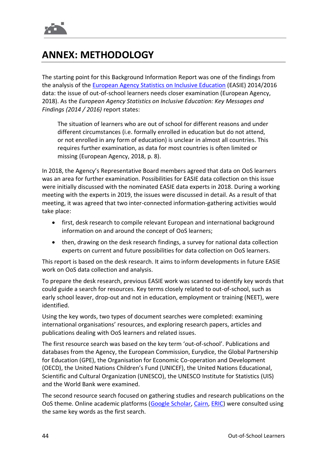

# <span id="page-43-0"></span>**ANNEX: METHODOLOGY**

The starting point for this Background Information Report was one of the findings from the analysis of the [European Agency Statistics on Inclusive Education](https://www.european-agency.org/data) (EASIE) 2014/2016 data: the issue of out-of-school learners needs closer examination (European Agency, 2018). As the *European Agency Statistics on Inclusive Education: Key Messages and Findings (2014 / 2016)* report states:

The situation of learners who are out of school for different reasons and under different circumstances (i.e. formally enrolled in education but do not attend, or not enrolled in any form of education) is unclear in almost all countries. This requires further examination, as data for most countries is often limited or missing (European Agency, 2018, p. 8).

In 2018, the Agency's Representative Board members agreed that data on OoS learners was an area for further examination. Possibilities for EASIE data collection on this issue were initially discussed with the nominated EASIE data experts in 2018. During a working meeting with the experts in 2019, the issues were discussed in detail. As a result of that meeting, it was agreed that two inter-connected information-gathering activities would take place:

- first, desk research to compile relevant European and international background information on and around the concept of OoS learners;
- then, drawing on the desk research findings, a survey for national data collection experts on current and future possibilities for data collection on OoS learners.

This report is based on the desk research. It aims to inform developments in future EASIE work on OoS data collection and analysis.

To prepare the desk research, previous EASIE work was scanned to identify key words that could guide a search for resources. Key terms closely related to out-of-school, such as early school leaver, drop-out and not in education, employment or training (NEET), were identified.

Using the key words, two types of document searches were completed: examining international organisations' resources, and exploring research papers, articles and publications dealing with OoS learners and related issues.

The first resource search was based on the key term 'out-of-school'. Publications and databases from the Agency, the European Commission, Eurydice, the Global Partnership for Education (GPE), the Organisation for Economic Co-operation and Development (OECD), the United Nations Children's Fund (UNICEF), the United Nations Educational, Scientific and Cultural Organization (UNESCO), the UNESCO Institute for Statistics (UIS) and the World Bank were examined.

The second resource search focused on gathering studies and research publications on the OoS theme. Online academic platforms [\(Google Scholar,](https://scholar.google.com/) [Cairn,](https://www.cairn-int.info/) [ERIC\)](https://eric.ed.gov/) were consulted using the same key words as the first search.